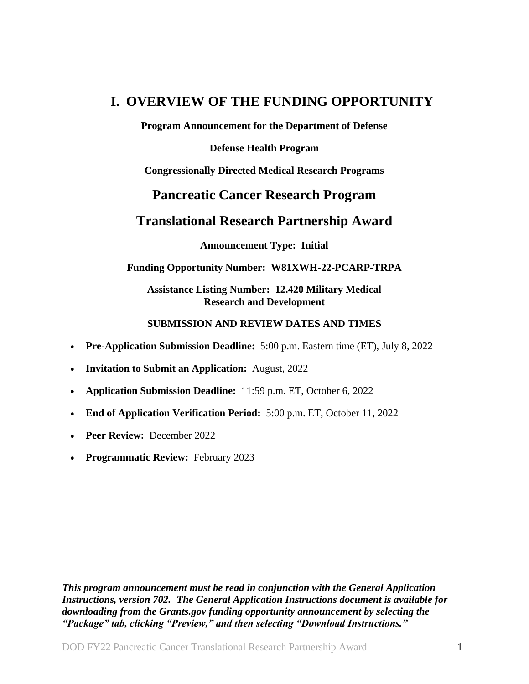# <span id="page-0-0"></span>**I. OVERVIEW OF THE FUNDING OPPORTUNITY**

**Program Announcement for the Department of Defense**

**Defense Health Program**

**Congressionally Directed Medical Research Programs**

## **Pancreatic Cancer Research Program**

## **Translational Research Partnership Award**

**Announcement Type: Initial**

#### **Funding Opportunity Number: W81XWH-22-PCARP-TRPA**

**Assistance Listing Number: 12.420 Military Medical Research and Development**

#### **SUBMISSION AND REVIEW DATES AND TIMES**

- <span id="page-0-1"></span>**Pre-Application Submission Deadline:** 5:00 p.m. Eastern time (ET), July 8, 2022
- **Invitation to Submit an Application:** August, 2022
- **Application Submission Deadline:** 11:59 p.m. ET, October 6, 2022
- **End of Application Verification Period:** 5:00 p.m. ET, October 11, 2022
- **Peer Review:** December 2022
- **Programmatic Review: February 2023**

*This program announcement must be read in conjunction with the General Application Instructions, version 702.**The General Application Instructions document is available for downloading from the Grants.gov funding opportunity announcement by selecting the "Package" tab, clicking "Preview," and then selecting "Download Instructions."*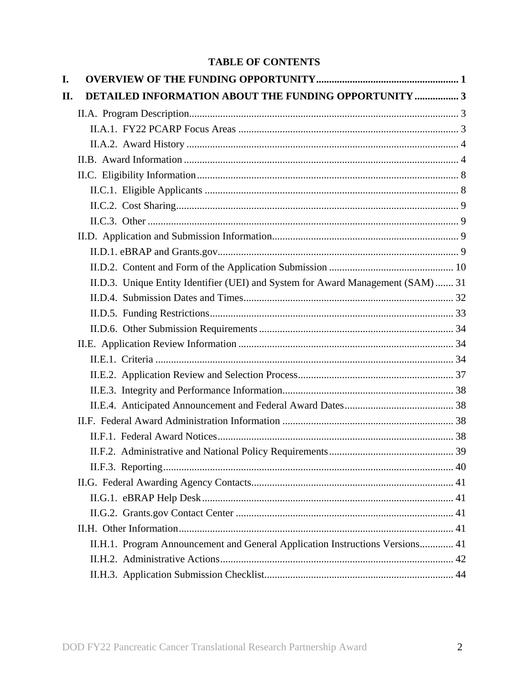## **TABLE OF CONTENTS**

| I. |                                                                                  |  |
|----|----------------------------------------------------------------------------------|--|
| П. | DETAILED INFORMATION ABOUT THE FUNDING OPPORTUNITY  3                            |  |
|    |                                                                                  |  |
|    |                                                                                  |  |
|    |                                                                                  |  |
|    |                                                                                  |  |
|    |                                                                                  |  |
|    |                                                                                  |  |
|    |                                                                                  |  |
|    |                                                                                  |  |
|    |                                                                                  |  |
|    |                                                                                  |  |
|    |                                                                                  |  |
|    | II.D.3. Unique Entity Identifier (UEI) and System for Award Management (SAM)  31 |  |
|    |                                                                                  |  |
|    |                                                                                  |  |
|    |                                                                                  |  |
|    |                                                                                  |  |
|    |                                                                                  |  |
|    |                                                                                  |  |
|    |                                                                                  |  |
|    |                                                                                  |  |
|    |                                                                                  |  |
|    |                                                                                  |  |
|    |                                                                                  |  |
|    |                                                                                  |  |
|    |                                                                                  |  |
|    |                                                                                  |  |
|    |                                                                                  |  |
|    |                                                                                  |  |
|    | II.H.1. Program Announcement and General Application Instructions Versions 41    |  |
|    |                                                                                  |  |
|    |                                                                                  |  |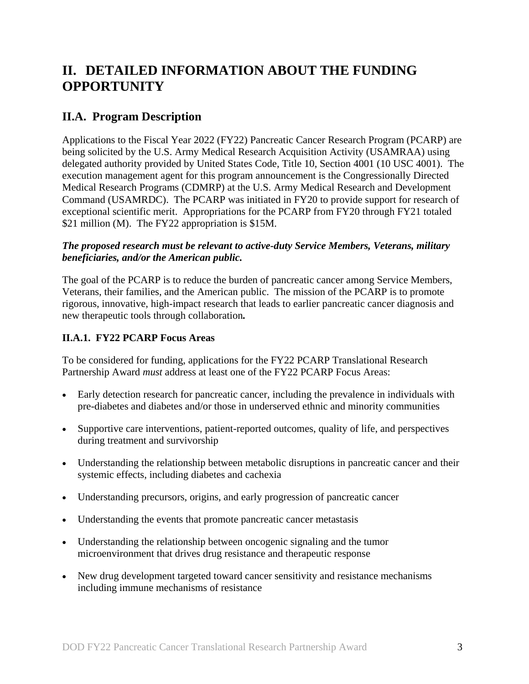# <span id="page-2-0"></span>**II. DETAILED INFORMATION ABOUT THE FUNDING OPPORTUNITY**

## <span id="page-2-1"></span>**II.A. Program Description**

Applications to the Fiscal Year 2022 (FY22) Pancreatic Cancer Research Program (PCARP) are being solicited by the U.S. Army Medical Research Acquisition Activity (USAMRAA) using delegated authority provided by United States Code, Title 10, Section 4001 (10 USC 4001). The execution management agent for this program announcement is the Congressionally Directed Medical Research Programs (CDMRP) at the U.S. Army Medical Research and Development Command (USAMRDC). The PCARP was initiated in FY20 to provide support for research of exceptional scientific merit. Appropriations for the PCARP from FY20 through FY21 totaled \$21 million (M). The FY22 appropriation is \$15M.

#### *The proposed research must be relevant to active-duty Service Members, Veterans, military beneficiaries, and/or the American public.*

The goal of the PCARP is to reduce the burden of pancreatic cancer among Service Members, Veterans, their families, and the American public. The mission of the PCARP is to promote rigorous, innovative, high-impact research that leads to earlier pancreatic cancer diagnosis and new therapeutic tools through collaboration*.*

## <span id="page-2-2"></span>**II.A.1. FY22 PCARP Focus Areas**

To be considered for funding, applications for the FY22 PCARP Translational Research Partnership Award *must* address at least one of the FY22 PCARP Focus Areas:

- Early detection research for pancreatic cancer, including the prevalence in individuals with pre-diabetes and diabetes and/or those in underserved ethnic and minority communities
- Supportive care interventions, patient-reported outcomes, quality of life, and perspectives during treatment and survivorship
- Understanding the relationship between metabolic disruptions in pancreatic cancer and their systemic effects, including diabetes and cachexia
- Understanding precursors, origins, and early progression of pancreatic cancer
- Understanding the events that promote pancreatic cancer metastasis
- Understanding the relationship between oncogenic signaling and the tumor microenvironment that drives drug resistance and therapeutic response
- New drug development targeted toward cancer sensitivity and resistance mechanisms including immune mechanisms of resistance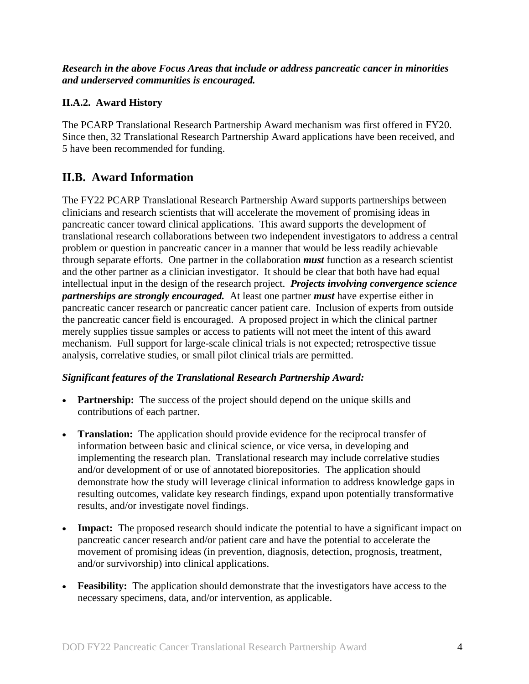*Research in the above Focus Areas that include or address pancreatic cancer in minorities and underserved communities is encouraged.*

## <span id="page-3-0"></span>**II.A.2. Award History**

The PCARP Translational Research Partnership Award mechanism was first offered in FY20. Since then, 32 Translational Research Partnership Award applications have been received, and 5 have been recommended for funding.

## <span id="page-3-1"></span>**II.B. Award Information**

The FY22 PCARP Translational Research Partnership Award supports partnerships between clinicians and research scientists that will accelerate the movement of promising ideas in pancreatic cancer toward clinical applications. This award supports the development of translational research collaborations between two independent investigators to address a central problem or question in pancreatic cancer in a manner that would be less readily achievable through separate efforts. One partner in the collaboration *must* function as a research scientist and the other partner as a clinician investigator. It should be clear that both have had equal intellectual input in the design of the research project. *Projects involving convergence science partnerships are strongly encouraged.* At least one partner *must* have expertise either in pancreatic cancer research or pancreatic cancer patient care. Inclusion of experts from outside the pancreatic cancer field is encouraged. A proposed project in which the clinical partner merely supplies tissue samples or access to patients will not meet the intent of this award mechanism. Full support for large-scale clinical trials is not expected; retrospective tissue analysis, correlative studies, or small pilot clinical trials are permitted.

### *Significant features of the Translational Research Partnership Award:*

- **Partnership:** The success of the project should depend on the unique skills and contributions of each partner.
- **Translation:** The application should provide evidence for the reciprocal transfer of information between basic and clinical science, or vice versa, in developing and implementing the research plan. Translational research may include correlative studies and/or development of or use of annotated biorepositories. The application should demonstrate how the study will leverage clinical information to address knowledge gaps in resulting outcomes, validate key research findings, expand upon potentially transformative results, and/or investigate novel findings.
- **Impact:** The proposed research should indicate the potential to have a significant impact on pancreatic cancer research and/or patient care and have the potential to accelerate the movement of promising ideas (in prevention, diagnosis, detection, prognosis, treatment, and/or survivorship) into clinical applications.
- **Feasibility:** The application should demonstrate that the investigators have access to the necessary specimens, data, and/or intervention, as applicable.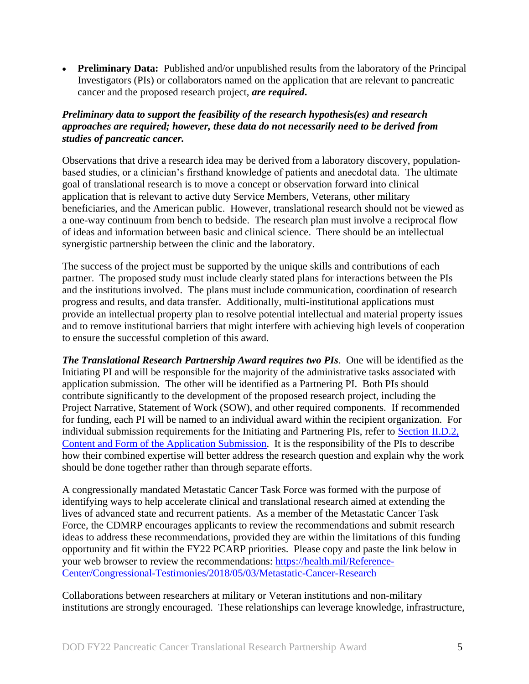• **Preliminary Data:** Published and/or unpublished results from the laboratory of the Principal Investigators (PIs) or collaborators named on the application that are relevant to pancreatic cancer and the proposed research project, *are required***.**

### *Preliminary data to support the feasibility of the research hypothesis(es) and research approaches are required; however, these data do not necessarily need to be derived from studies of pancreatic cancer.*

Observations that drive a research idea may be derived from a laboratory discovery, populationbased studies, or a clinician's firsthand knowledge of patients and anecdotal data. The ultimate goal of translational research is to move a concept or observation forward into clinical application that is relevant to active duty Service Members, Veterans, other military beneficiaries, and the American public. However, translational research should not be viewed as a one-way continuum from bench to bedside. The research plan must involve a reciprocal flow of ideas and information between basic and clinical science. There should be an intellectual synergistic partnership between the clinic and the laboratory.

The success of the project must be supported by the unique skills and contributions of each partner. The proposed study must include clearly stated plans for interactions between the PIs and the institutions involved. The plans must include communication, coordination of research progress and results, and data transfer. Additionally, multi-institutional applications must provide an intellectual property plan to resolve potential intellectual and material property issues and to remove institutional barriers that might interfere with achieving high levels of cooperation to ensure the successful completion of this award.

*The Translational Research Partnership Award requires two PIs*. One will be identified as the Initiating PI and will be responsible for the majority of the administrative tasks associated with application submission. The other will be identified as a Partnering PI. Both PIs should contribute significantly to the development of the proposed research project, including the Project Narrative, Statement of Work (SOW), and other required components. If recommended for funding, each PI will be named to an individual award within the recipient organization. For individual submission requirements for the Initiating and Partnering PIs, refer to [Section II.D.2,](#page-9-0)  [Content and Form of the Application Submission.](#page-9-0) It is the responsibility of the PIs to describe how their combined expertise will better address the research question and explain why the work should be done together rather than through separate efforts.

A congressionally mandated Metastatic Cancer Task Force was formed with the purpose of identifying ways to help accelerate clinical and translational research aimed at extending the lives of advanced state and recurrent patients. As a member of the Metastatic Cancer Task Force, the CDMRP encourages applicants to review the recommendations and submit research ideas to address these recommendations, provided they are within the limitations of this funding opportunity and fit within the FY22 PCARP priorities. Please copy and paste the link below in your web browser to review the recommendations: [https://health.mil/Reference-](https://health.mil/Reference-Center/Congressional-Testimonies/2018/05/03/Metastatic-Cancer-Research)[Center/Congressional-Testimonies/2018/05/03/Metastatic-Cancer-Research](https://health.mil/Reference-Center/Congressional-Testimonies/2018/05/03/Metastatic-Cancer-Research)

Collaborations between researchers at military or Veteran institutions and non-military institutions are strongly encouraged. These relationships can leverage knowledge, infrastructure,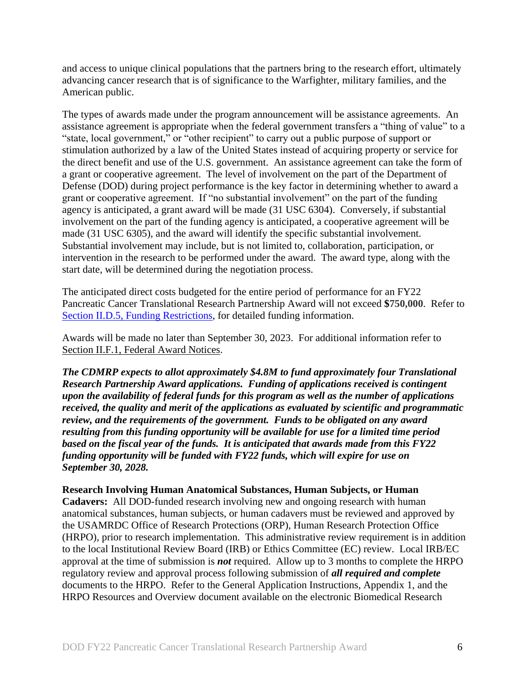and access to unique clinical populations that the partners bring to the research effort, ultimately advancing cancer research that is of significance to the Warfighter, military families, and the American public.

The types of awards made under the program announcement will be assistance agreements. An assistance agreement is appropriate when the federal government transfers a "thing of value" to a "state, local government," or "other recipient" to carry out a public purpose of support or stimulation authorized by a law of the United States instead of acquiring property or service for the direct benefit and use of the U.S. government. An assistance agreement can take the form of a grant or cooperative agreement. The level of involvement on the part of the Department of Defense (DOD) during project performance is the key factor in determining whether to award a grant or cooperative agreement. If "no substantial involvement" on the part of the funding agency is anticipated, a grant award will be made (31 USC 6304). Conversely, if substantial involvement on the part of the funding agency is anticipated, a cooperative agreement will be made (31 USC 6305), and the award will identify the specific substantial involvement. Substantial involvement may include, but is not limited to, collaboration, participation, or intervention in the research to be performed under the award. The award type, along with the start date, will be determined during the negotiation process.

The anticipated direct costs budgeted for the entire period of performance for an FY22 Pancreatic Cancer Translational Research Partnership Award will not exceed **\$750,000**. Refer to Section [II.D.5, Funding Restrictions,](#page-32-0) for detailed funding information.

Awards will be made no later than September 30, 2023. For additional information refer to [Section II.F.1, Federal Award Notices.](#page-37-3)

*The CDMRP expects to allot approximately \$4.8M to fund approximately four Translational Research Partnership Award applications. Funding of applications received is contingent upon the availability of federal funds for this program as well as the number of applications received, the quality and merit of the applications as evaluated by scientific and programmatic review, and the requirements of the government. Funds to be obligated on any award resulting from this funding opportunity will be available for use for a limited time period based on the fiscal year of the funds. It is anticipated that awards made from this FY22 funding opportunity will be funded with FY22 funds, which will expire for use on September 30, 2028.*

#### **Research Involving Human Anatomical Substances, Human Subjects, or Human**

**Cadavers:** All DOD-funded research involving new and ongoing research with human anatomical substances, human subjects, or human cadavers must be reviewed and approved by the USAMRDC Office of Research Protections (ORP), Human Research Protection Office (HRPO), prior to research implementation. This administrative review requirement is in addition to the local Institutional Review Board (IRB) or Ethics Committee (EC) review. Local IRB/EC approval at the time of submission is *not* required. Allow up to 3 months to complete the HRPO regulatory review and approval process following submission of *all required and complete* documents to the HRPO. Refer to the General Application Instructions, Appendix 1, and the HRPO Resources and Overview document available on the electronic Biomedical Research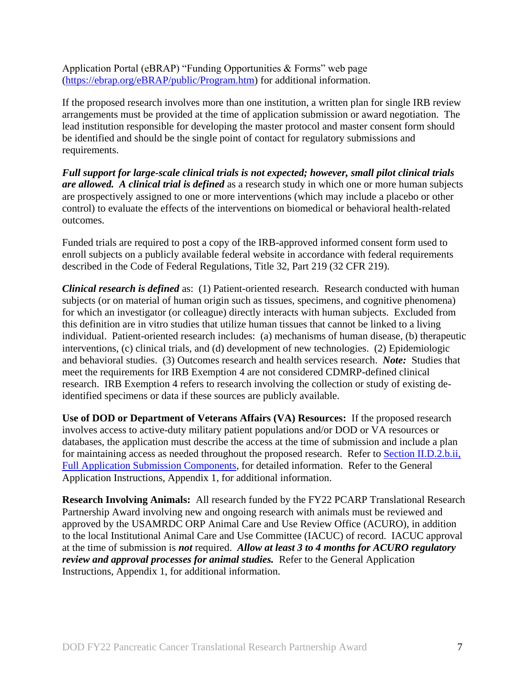Application Portal (eBRAP) "Funding Opportunities & Forms" web page [\(https://ebrap.org/eBRAP/public/Program.htm\)](https://ebrap.org/eBRAP/public/Program.htm) for additional information.

If the proposed research involves more than one institution, a written plan for single IRB review arrangements must be provided at the time of application submission or award negotiation. The lead institution responsible for developing the master protocol and master consent form should be identified and should be the single point of contact for regulatory submissions and requirements.

*Full support for large-scale clinical trials is not expected; however, small pilot clinical trials are allowed. A clinical trial is defined* as a research study in which one or more human subjects are prospectively assigned to one or more interventions (which may include a placebo or other control) to evaluate the effects of the interventions on biomedical or behavioral health-related outcomes.

Funded trials are required to post a copy of the IRB-approved informed consent form used to enroll subjects on a publicly available federal website in accordance with federal requirements described in the Code of Federal Regulations, Title 32, Part 219 (32 CFR 219).

*Clinical research is defined* as: (1) Patient-oriented research. Research conducted with human subjects (or on material of human origin such as tissues, specimens, and cognitive phenomena) for which an investigator (or colleague) directly interacts with human subjects. Excluded from this definition are in vitro studies that utilize human tissues that cannot be linked to a living individual. Patient-oriented research includes: (a) mechanisms of human disease, (b) therapeutic interventions, (c) clinical trials, and (d) development of new technologies. (2) Epidemiologic and behavioral studies. (3) Outcomes research and health services research. *Note:* Studies that meet the requirements for IRB Exemption 4 are not considered CDMRP-defined clinical research. IRB Exemption 4 refers to research involving the collection or study of existing deidentified specimens or data if these sources are publicly available.

**Use of DOD or Department of Veterans Affairs (VA) Resources:** If the proposed research involves access to active-duty military patient populations and/or DOD or VA resources or databases, the application must describe the access at the time of submission and include a plan for maintaining access as needed throughout the proposed research. Refer to Section [II.D.2.b.ii,](#page-16-0)  [Full Application Submission Components,](#page-16-0) for detailed information. Refer to the General Application Instructions, Appendix 1, for additional information.

**Research Involving Animals:** All research funded by the FY22 PCARP Translational Research Partnership Award involving new and ongoing research with animals must be reviewed and approved by the USAMRDC ORP Animal Care and Use Review Office (ACURO), in addition to the local Institutional Animal Care and Use Committee (IACUC) of record. IACUC approval at the time of submission is *not* required. *Allow at least 3 to 4 months for ACURO regulatory review and approval processes for animal studies.* Refer to the General Application Instructions, Appendix 1, for additional information.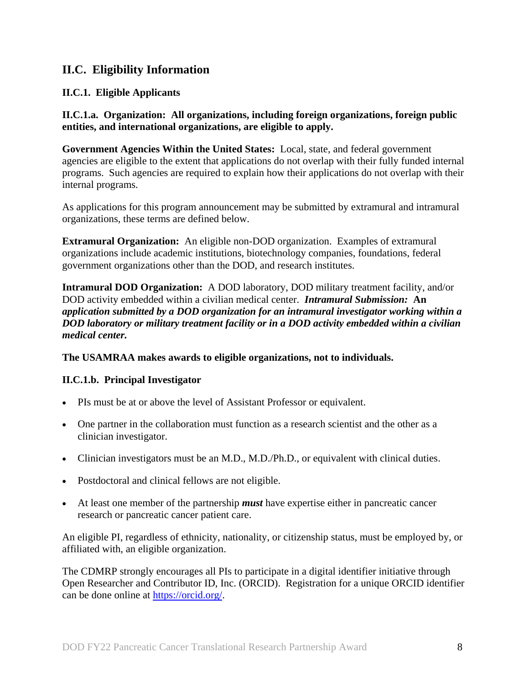## <span id="page-7-0"></span>**II.C. Eligibility Information**

### <span id="page-7-1"></span>**II.C.1. Eligible Applicants**

<span id="page-7-2"></span>**II.C.1.a. Organization: All organizations, including foreign organizations, foreign public entities, and international organizations, are eligible to apply.** 

**Government Agencies Within the United States:** Local, state, and federal government agencies are eligible to the extent that applications do not overlap with their fully funded internal programs. Such agencies are required to explain how their applications do not overlap with their internal programs.

As applications for this program announcement may be submitted by extramural and intramural organizations, these terms are defined below.

**Extramural Organization:** An eligible non-DOD organization. Examples of extramural organizations include academic institutions, biotechnology companies, foundations, federal government organizations other than the DOD, and research institutes.

**Intramural DOD Organization:** A DOD laboratory, DOD military treatment facility, and/or DOD activity embedded within a civilian medical center. *Intramural Submission:* **An**  *application submitted by a DOD organization for an intramural investigator working within a DOD laboratory or military treatment facility or in a DOD activity embedded within a civilian medical center.*

#### **The USAMRAA makes awards to eligible organizations, not to individuals.**

### **II.C.1.b. Principal Investigator**

- PIs must be at or above the level of Assistant Professor or equivalent.
- One partner in the collaboration must function as a research scientist and the other as a clinician investigator.
- Clinician investigators must be an M.D., M.D./Ph.D., or equivalent with clinical duties.
- Postdoctoral and clinical fellows are not eligible.
- At least one member of the partnership *must* have expertise either in pancreatic cancer research or pancreatic cancer patient care.

An eligible PI, regardless of ethnicity, nationality, or citizenship status, must be employed by, or affiliated with, an eligible organization.

The CDMRP strongly encourages all PIs to participate in a digital identifier initiative through Open Researcher and Contributor ID, Inc. (ORCID). Registration for a unique ORCID identifier can be done online at [https://orcid.org/.](https://orcid.org/)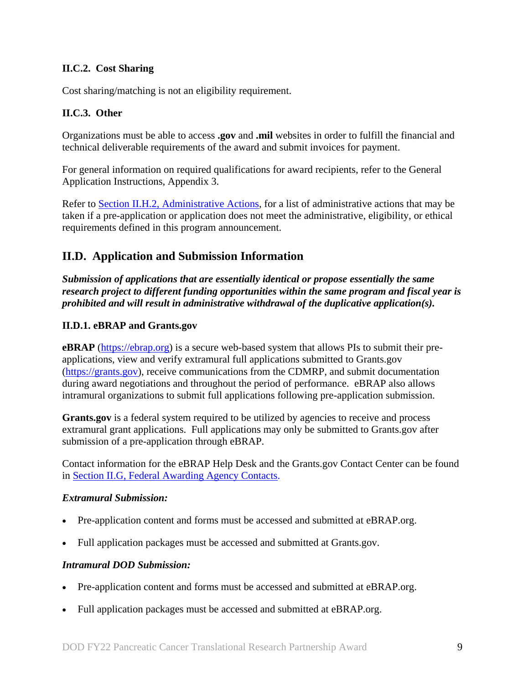## <span id="page-8-0"></span>**II.C.2. Cost Sharing**

Cost sharing/matching is not an eligibility requirement.

### <span id="page-8-1"></span>**II.C.3. Other**

Organizations must be able to access **.gov** and **.mil** websites in order to fulfill the financial and technical deliverable requirements of the award and submit invoices for payment.

For general information on required qualifications for award recipients, refer to the General Application Instructions, Appendix 3.

Refer to [Section II.H.2, Administrative Actions,](#page-41-0) for a list of administrative actions that may be taken if a pre-application or application does not meet the administrative, eligibility, or ethical requirements defined in this program announcement.

## <span id="page-8-2"></span>**II.D. Application and Submission Information**

*Submission of applications that are essentially identical or propose essentially the same research project to different funding opportunities within the same program and fiscal year is prohibited and will result in administrative withdrawal of the duplicative application(s).*

#### <span id="page-8-3"></span>**II.D.1. eBRAP and Grants.gov**

**eBRAP** [\(https://ebrap.org\)](https://ebrap.org/) is a secure web-based system that allows PIs to submit their preapplications, view and verify extramural full applications submitted to Grants.gov [\(https://grants.gov\)](https://grants.gov/), receive communications from the CDMRP, and submit documentation during award negotiations and throughout the period of performance. eBRAP also allows intramural organizations to submit full applications following pre-application submission.

Grants.gov is a federal system required to be utilized by agencies to receive and process extramural grant applications. Full applications may only be submitted to Grants.gov after submission of a pre-application through eBRAP.

Contact information for the eBRAP Help Desk and the Grants.gov Contact Center can be found in [Section II.G, Federal Awarding Agency Contacts.](#page-40-0)

#### *Extramural Submission:*

- Pre-application content and forms must be accessed and submitted at eBRAP.org.
- Full application packages must be accessed and submitted at Grants.gov.

#### *Intramural DOD Submission:*

- Pre-application content and forms must be accessed and submitted at eBRAP.org.
- Full application packages must be accessed and submitted at eBRAP.org.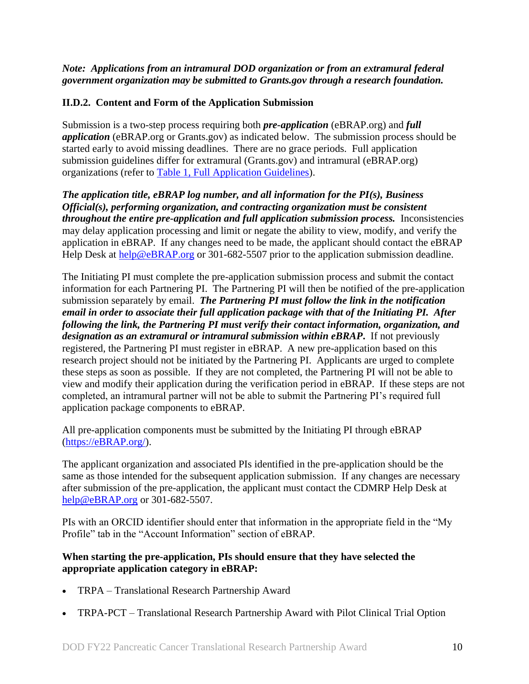#### *Note: Applications from an intramural DOD organization or from an extramural federal government organization may be submitted to Grants.gov through a research foundation.*

## <span id="page-9-0"></span>**II.D.2. Content and Form of the Application Submission**

Submission is a two-step process requiring both *pre-application* (eBRAP.org) and *full application* (eBRAP.org or Grants.gov) as indicated below. The submission process should be started early to avoid missing deadlines. There are no grace periods. Full application submission guidelines differ for extramural (Grants.gov) and intramural (eBRAP.org) organizations (refer to [Table 1, Full Application Guidelines\)](#page-13-0).

*The application title, eBRAP log number, and all information for the PI(s), Business Official(s), performing organization, and contracting organization must be consistent throughout the entire pre-application and full application submission process.* Inconsistencies may delay application processing and limit or negate the ability to view, modify, and verify the application in eBRAP. If any changes need to be made, the applicant should contact the eBRAP Help Desk at [help@eBRAP.org](mailto:help@eBRAP.org) or 301-682-5507 prior to the application submission deadline.

The Initiating PI must complete the pre-application submission process and submit the contact information for each Partnering PI. The Partnering PI will then be notified of the pre-application submission separately by email. *The Partnering PI must follow the link in the notification email in order to associate their full application package with that of the Initiating PI. After following the link, the Partnering PI must verify their contact information, organization, and designation as an extramural or intramural submission within eBRAP***.** If not previously registered, the Partnering PI must register in eBRAP. A new pre-application based on this research project should not be initiated by the Partnering PI. Applicants are urged to complete these steps as soon as possible. If they are not completed, the Partnering PI will not be able to view and modify their application during the verification period in eBRAP. If these steps are not completed, an intramural partner will not be able to submit the Partnering PI's required full application package components to eBRAP.

All pre-application components must be submitted by the Initiating PI through eBRAP [\(https://eBRAP.org/\)](https://ebrap.org/).

The applicant organization and associated PIs identified in the pre-application should be the same as those intended for the subsequent application submission. If any changes are necessary after submission of the pre-application, the applicant must contact the CDMRP Help Desk at [help@eBRAP.org](mailto:help@eBRAP.org) or 301-682-5507.

PIs with an ORCID identifier should enter that information in the appropriate field in the "My Profile" tab in the "Account Information" section of eBRAP.

#### **When starting the pre-application, PIs should ensure that they have selected the appropriate application category in eBRAP:**

- TRPA Translational Research Partnership Award
- TRPA-PCT Translational Research Partnership Award with Pilot Clinical Trial Option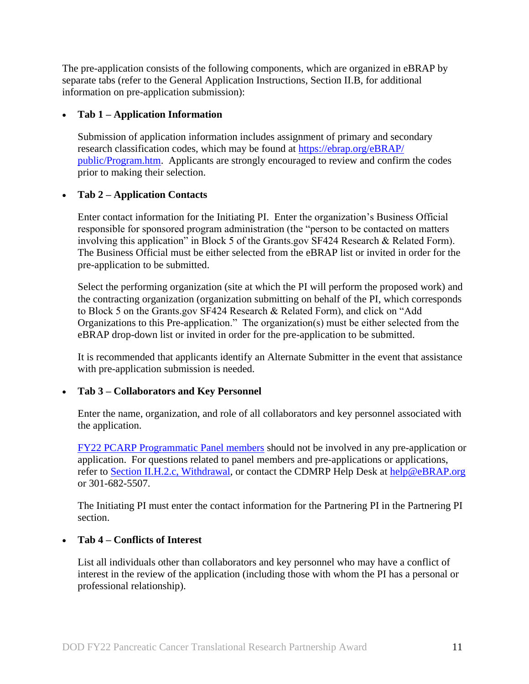The pre-application consists of the following components, which are organized in eBRAP by separate tabs (refer to the General Application Instructions, Section II.B, for additional information on pre-application submission):

### **Tab 1 – Application Information**

Submission of application information includes assignment of primary and secondary research classification codes, which may be found at [https://ebrap.org/eBRAP/](https://ebrap.org/eBRAP/public/Program.htm) [public/Program.htm.](https://ebrap.org/eBRAP/public/Program.htm) Applicants are strongly encouraged to review and confirm the codes prior to making their selection.

## **Tab 2 – Application Contacts**

Enter contact information for the Initiating PI. Enter the organization's Business Official responsible for sponsored program administration (the "person to be contacted on matters involving this application" in Block 5 of the Grants.gov SF424 Research & Related Form). The Business Official must be either selected from the eBRAP list or invited in order for the pre-application to be submitted.

Select the performing organization (site at which the PI will perform the proposed work) and the contracting organization (organization submitting on behalf of the PI, which corresponds to Block 5 on the Grants.gov SF424 Research & Related Form), and click on "Add Organizations to this Pre-application." The organization(s) must be either selected from the eBRAP drop-down list or invited in order for the pre-application to be submitted.

It is recommended that applicants identify an Alternate Submitter in the event that assistance with pre-application submission is needed.

### **Tab 3 – Collaborators and Key Personnel**

Enter the name, organization, and role of all collaborators and key personnel associated with the application.

[FY22 PCARP Programmatic Panel members](https://cdmrp.army.mil/pcarp/panels/panels22) should not be involved in any pre-application or application. For questions related to panel members and pre-applications or applications, refer to [Section II.H.2.c, Withdrawal,](#page-41-1) or contact the CDMRP Help Desk at [help@eBRAP.org](mailto:help@eBRAP.org) or 301-682-5507.

The Initiating PI must enter the contact information for the Partnering PI in the Partnering PI section.

### **Tab 4 – Conflicts of Interest**

List all individuals other than collaborators and key personnel who may have a conflict of interest in the review of the application (including those with whom the PI has a personal or professional relationship).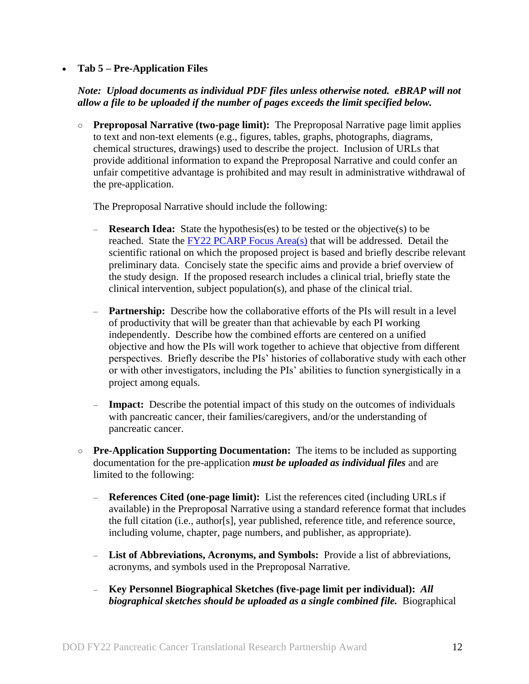#### **Tab 5 – Pre-Application Files**

### *Note: Upload documents as individual PDF files unless otherwise noted. eBRAP will not allow a file to be uploaded if the number of pages exceeds the limit specified below.*

○ **Preproposal Narrative (two-page limit):** The Preproposal Narrative page limit applies to text and non-text elements (e.g., figures, tables, graphs, photographs, diagrams, chemical structures, drawings) used to describe the project. Inclusion of URLs that provide additional information to expand the Preproposal Narrative and could confer an unfair competitive advantage is prohibited and may result in administrative withdrawal of the pre-application.

The Preproposal Narrative should include the following:

- **Research Idea:** State the hypothesis(es) to be tested or the objective(s) to be reached. State the [FY22 PCARP Focus Area\(s\)](#page-2-2) that will be addressed. Detail the scientific rational on which the proposed project is based and briefly describe relevant preliminary data. Concisely state the specific aims and provide a brief overview of the study design. If the proposed research includes a clinical trial, briefly state the clinical intervention, subject population(s), and phase of the clinical trial.
- **Partnership:** Describe how the collaborative efforts of the PIs will result in a level of productivity that will be greater than that achievable by each PI working independently. Describe how the combined efforts are centered on a unified objective and how the PIs will work together to achieve that objective from different perspectives. Briefly describe the PIs' histories of collaborative study with each other or with other investigators, including the PIs' abilities to function synergistically in a project among equals.
- **Impact:** Describe the potential impact of this study on the outcomes of individuals with pancreatic cancer, their families/caregivers, and/or the understanding of pancreatic cancer.
- **Pre-Application Supporting Documentation:** The items to be included as supporting documentation for the pre-application *must be uploaded as individual files* and are limited to the following:
	- **References Cited (one-page limit):** List the references cited (including URLs if available) in the Preproposal Narrative using a standard reference format that includes the full citation (i.e., author[s], year published, reference title, and reference source, including volume, chapter, page numbers, and publisher, as appropriate).
	- **List of Abbreviations, Acronyms, and Symbols:** Provide a list of abbreviations, acronyms, and symbols used in the Preproposal Narrative.
	- **Key Personnel Biographical Sketches (five-page limit per individual):** *All biographical sketches should be uploaded as a single combined file.* Biographical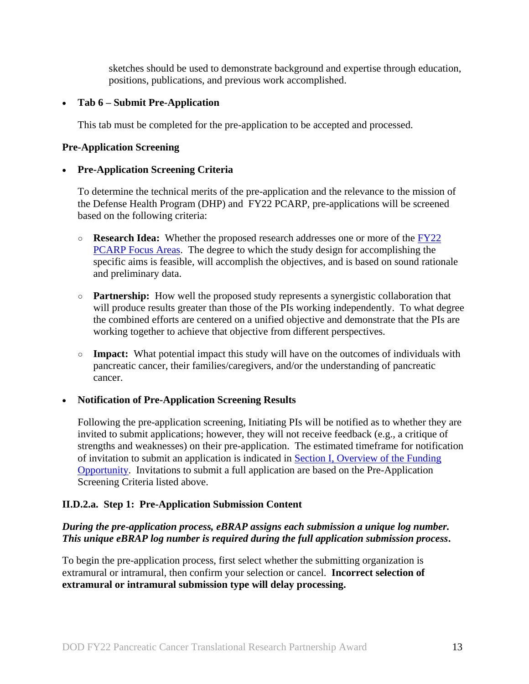sketches should be used to demonstrate background and expertise through education, positions, publications, and previous work accomplished.

#### **Tab 6 – Submit Pre-Application**

This tab must be completed for the pre-application to be accepted and processed.

#### **Pre-Application Screening**

#### **Pre-Application Screening Criteria**

To determine the technical merits of the pre-application and the relevance to the mission of the Defense Health Program (DHP) and FY22 PCARP, pre-applications will be screened based on the following criteria:

- **Research Idea:** Whether the proposed research addresses one or more of the [FY22](#page-2-2)  [PCARP Focus Areas.](#page-2-2) The degree to which the study design for accomplishing the specific aims is feasible, will accomplish the objectives, and is based on sound rationale and preliminary data.
- **Partnership:** How well the proposed study represents a synergistic collaboration that will produce results greater than those of the PIs working independently. To what degree the combined efforts are centered on a unified objective and demonstrate that the PIs are working together to achieve that objective from different perspectives.
- **Impact:** What potential impact this study will have on the outcomes of individuals with pancreatic cancer, their families/caregivers, and/or the understanding of pancreatic cancer.

#### **Notification of Pre-Application Screening Results**

Following the pre-application screening, Initiating PIs will be notified as to whether they are invited to submit applications; however, they will not receive feedback (e.g., a critique of strengths and weaknesses) on their pre-application. The estimated timeframe for notification of invitation to submit an application is indicated in Section [I, Overview of the Funding](#page-0-1)  [Opportunity.](#page-0-1) Invitations to submit a full application are based on the Pre-Application Screening Criteria listed above.

### **II.D.2.a. Step 1: Pre-Application Submission Content**

## *During the pre-application process, eBRAP assigns each submission a unique log number. This unique eBRAP log number is required during the full application submission process***.**

To begin the pre-application process, first select whether the submitting organization is extramural or intramural, then confirm your selection or cancel. **Incorrect selection of extramural or intramural submission type will delay processing.**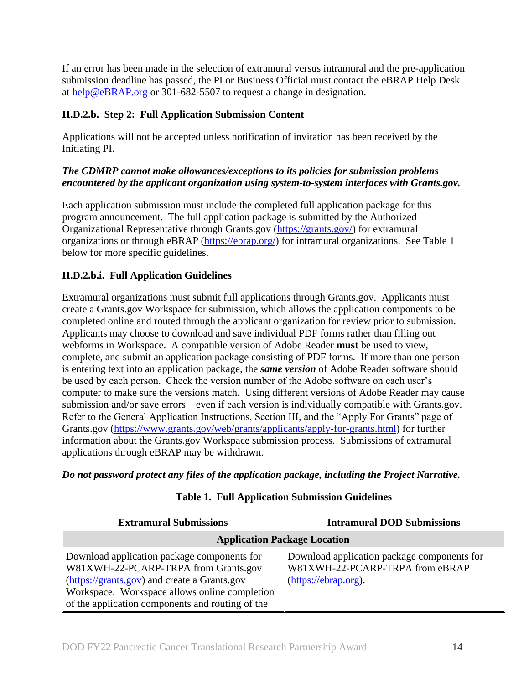If an error has been made in the selection of extramural versus intramural and the pre-application submission deadline has passed, the PI or Business Official must contact the eBRAP Help Desk at [help@eBRAP.org](mailto:help@eBRAP.org) or 301-682-5507 to request a change in designation.

## **II.D.2.b. Step 2: Full Application Submission Content**

Applications will not be accepted unless notification of invitation has been received by the Initiating PI.

## *The CDMRP cannot make allowances/exceptions to its policies for submission problems encountered by the applicant organization using system-to-system interfaces with Grants.gov.*

Each application submission must include the completed full application package for this program announcement. The full application package is submitted by the Authorized Organizational Representative through Grants.gov [\(https://grants.gov/\)](https://www.grants.gov/) for extramural organizations or through eBRAP [\(https://ebrap.org/\)](https://ebrap.org/) for intramural organizations. See Table 1 below for more specific guidelines.

## **II.D.2.b.i. Full Application Guidelines**

Extramural organizations must submit full applications through Grants.gov. Applicants must create a Grants.gov Workspace for submission, which allows the application components to be completed online and routed through the applicant organization for review prior to submission. Applicants may choose to download and save individual PDF forms rather than filling out webforms in Workspace. A compatible version of Adobe Reader **must** be used to view, complete, and submit an application package consisting of PDF forms. If more than one person is entering text into an application package, the *same version* of Adobe Reader software should be used by each person. Check the version number of the Adobe software on each user's computer to make sure the versions match. Using different versions of Adobe Reader may cause submission and/or save errors – even if each version is individually compatible with Grants.gov. Refer to the General Application Instructions, Section III, and the "Apply For Grants" page of Grants.gov [\(https://www.grants.gov/web/grants/applicants/apply-for-grants.html\)](https://www.grants.gov/web/grants/applicants/apply-for-grants.html) for further information about the Grants.gov Workspace submission process. Submissions of extramural applications through eBRAP may be withdrawn.

<span id="page-13-0"></span>*Do not password protect any files of the application package, including the Project Narrative.*

| <b>Extramural Submissions</b>                                                                                                                                                                                                            | <b>Intramural DOD Submissions</b>                                                                         |
|------------------------------------------------------------------------------------------------------------------------------------------------------------------------------------------------------------------------------------------|-----------------------------------------------------------------------------------------------------------|
| <b>Application Package Location</b>                                                                                                                                                                                                      |                                                                                                           |
| Download application package components for<br>W81XWH-22-PCARP-TRPA from Grants.gov<br>(https://grants.gov) and create a Grants.gov<br>Workspace. Workspace allows online completion<br>of the application components and routing of the | Download application package components for<br>W81XWH-22-PCARP-TRPA from eBRAP<br>$(htips://ebrap.org)$ . |

## **Table 1. Full Application Submission Guidelines**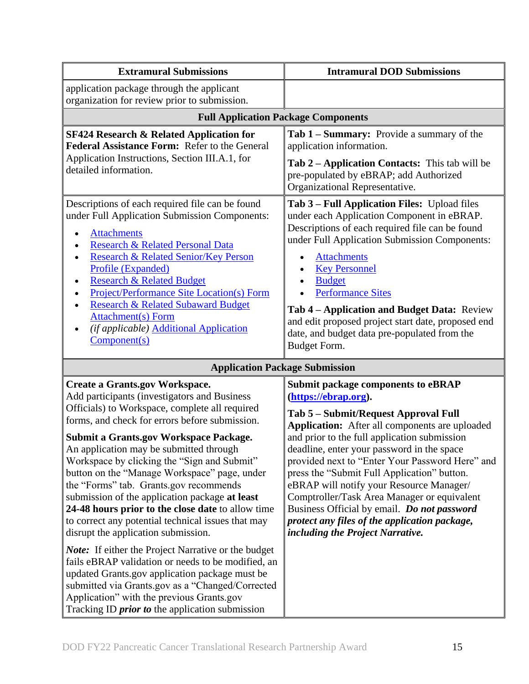| <b>Extramural Submissions</b>                                                                                                                                                                                                                                                                                                                                                                                                                                                                                                                                                                                                                                                                                                                                                                                                                                                                                                                                       | <b>Intramural DOD Submissions</b>                                                                                                                                                                                                                                                                                                                                                                                                                                                                                                                                                          |  |
|---------------------------------------------------------------------------------------------------------------------------------------------------------------------------------------------------------------------------------------------------------------------------------------------------------------------------------------------------------------------------------------------------------------------------------------------------------------------------------------------------------------------------------------------------------------------------------------------------------------------------------------------------------------------------------------------------------------------------------------------------------------------------------------------------------------------------------------------------------------------------------------------------------------------------------------------------------------------|--------------------------------------------------------------------------------------------------------------------------------------------------------------------------------------------------------------------------------------------------------------------------------------------------------------------------------------------------------------------------------------------------------------------------------------------------------------------------------------------------------------------------------------------------------------------------------------------|--|
| application package through the applicant<br>organization for review prior to submission.                                                                                                                                                                                                                                                                                                                                                                                                                                                                                                                                                                                                                                                                                                                                                                                                                                                                           |                                                                                                                                                                                                                                                                                                                                                                                                                                                                                                                                                                                            |  |
| <b>Full Application Package Components</b>                                                                                                                                                                                                                                                                                                                                                                                                                                                                                                                                                                                                                                                                                                                                                                                                                                                                                                                          |                                                                                                                                                                                                                                                                                                                                                                                                                                                                                                                                                                                            |  |
| <b>SF424 Research &amp; Related Application for</b><br>Federal Assistance Form: Refer to the General<br>Application Instructions, Section III.A.1, for<br>detailed information.                                                                                                                                                                                                                                                                                                                                                                                                                                                                                                                                                                                                                                                                                                                                                                                     | Tab 1 - Summary: Provide a summary of the<br>application information.<br>Tab 2 – Application Contacts: This tab will be<br>pre-populated by eBRAP; add Authorized<br>Organizational Representative.                                                                                                                                                                                                                                                                                                                                                                                        |  |
| Descriptions of each required file can be found<br>under Full Application Submission Components:<br><b>Attachments</b><br>Research & Related Personal Data<br>Research & Related Senior/Key Person<br>$\bullet$<br>Profile (Expanded)<br><b>Research &amp; Related Budget</b><br>٠<br><b>Project/Performance Site Location(s) Form</b><br><b>Research &amp; Related Subaward Budget</b><br><b>Attachment(s)</b> Form<br>(if applicable) Additional Application<br>Component(s)                                                                                                                                                                                                                                                                                                                                                                                                                                                                                      | Tab 3 – Full Application Files: Upload files<br>under each Application Component in eBRAP.<br>Descriptions of each required file can be found<br>under Full Application Submission Components:<br><b>Attachments</b><br>$\bullet$<br><b>Key Personnel</b><br><b>Budget</b><br><b>Performance Sites</b><br>Tab 4 - Application and Budget Data: Review<br>and edit proposed project start date, proposed end<br>date, and budget data pre-populated from the<br><b>Budget Form.</b>                                                                                                         |  |
| <b>Application Package Submission</b>                                                                                                                                                                                                                                                                                                                                                                                                                                                                                                                                                                                                                                                                                                                                                                                                                                                                                                                               |                                                                                                                                                                                                                                                                                                                                                                                                                                                                                                                                                                                            |  |
| <b>Create a Grants.gov Workspace.</b><br>Add participants (investigators and Business<br>Officials) to Workspace, complete all required<br>forms, and check for errors before submission.<br><b>Submit a Grants.gov Workspace Package.</b><br>An application may be submitted through<br>Workspace by clicking the "Sign and Submit"<br>button on the "Manage Workspace" page, under<br>the "Forms" tab. Grants.gov recommends<br>submission of the application package at least<br>24-48 hours prior to the close date to allow time<br>to correct any potential technical issues that may<br>disrupt the application submission.<br><b>Note:</b> If either the Project Narrative or the budget<br>fails eBRAP validation or needs to be modified, an<br>updated Grants.gov application package must be<br>submitted via Grants.gov as a "Changed/Corrected<br>Application" with the previous Grants.gov<br>Tracking ID <i>prior to</i> the application submission | <b>Submit package components to eBRAP</b><br>(https://ebrap.org).<br>Tab 5 - Submit/Request Approval Full<br>Application: After all components are uploaded<br>and prior to the full application submission<br>deadline, enter your password in the space<br>provided next to "Enter Your Password Here" and<br>press the "Submit Full Application" button.<br>eBRAP will notify your Resource Manager/<br>Comptroller/Task Area Manager or equivalent<br>Business Official by email. Do not password<br>protect any files of the application package,<br>including the Project Narrative. |  |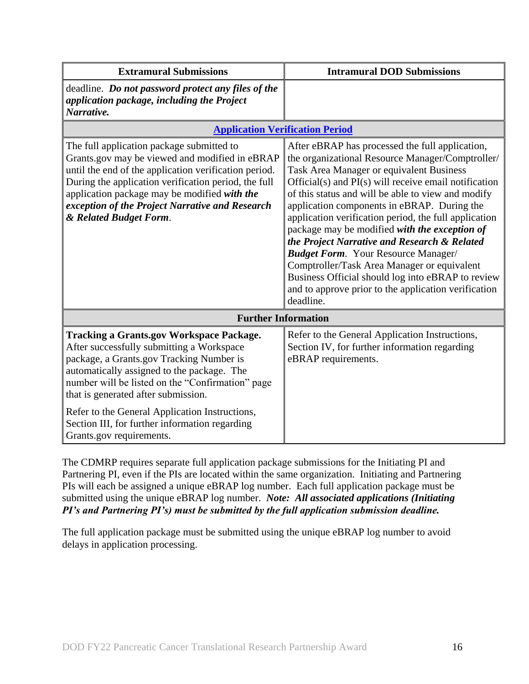| <b>Extramural Submissions</b>                                                                                                                                                                                                                                                                                                             | <b>Intramural DOD Submissions</b>                                                                                                                                                                                                                                                                                                                                                                                                                                                                                                                                                                                                                                                              |
|-------------------------------------------------------------------------------------------------------------------------------------------------------------------------------------------------------------------------------------------------------------------------------------------------------------------------------------------|------------------------------------------------------------------------------------------------------------------------------------------------------------------------------------------------------------------------------------------------------------------------------------------------------------------------------------------------------------------------------------------------------------------------------------------------------------------------------------------------------------------------------------------------------------------------------------------------------------------------------------------------------------------------------------------------|
| deadline. Do not password protect any files of the<br>application package, including the Project<br>Narrative.                                                                                                                                                                                                                            |                                                                                                                                                                                                                                                                                                                                                                                                                                                                                                                                                                                                                                                                                                |
| <b>Application Verification Period</b>                                                                                                                                                                                                                                                                                                    |                                                                                                                                                                                                                                                                                                                                                                                                                                                                                                                                                                                                                                                                                                |
| The full application package submitted to<br>Grants.gov may be viewed and modified in eBRAP<br>until the end of the application verification period.<br>During the application verification period, the full<br>application package may be modified with the<br>exception of the Project Narrative and Research<br>& Related Budget Form. | After eBRAP has processed the full application,<br>the organizational Resource Manager/Comptroller/<br>Task Area Manager or equivalent Business<br>Official(s) and PI(s) will receive email notification<br>of this status and will be able to view and modify<br>application components in eBRAP. During the<br>application verification period, the full application<br>package may be modified with the exception of<br>the Project Narrative and Research & Related<br><b>Budget Form.</b> Your Resource Manager/<br>Comptroller/Task Area Manager or equivalent<br>Business Official should log into eBRAP to review<br>and to approve prior to the application verification<br>deadline. |
| <b>Further Information</b>                                                                                                                                                                                                                                                                                                                |                                                                                                                                                                                                                                                                                                                                                                                                                                                                                                                                                                                                                                                                                                |
| <b>Tracking a Grants.gov Workspace Package.</b><br>After successfully submitting a Workspace<br>package, a Grants.gov Tracking Number is<br>automatically assigned to the package. The<br>number will be listed on the "Confirmation" page<br>that is generated after submission.                                                         | Refer to the General Application Instructions,<br>Section IV, for further information regarding<br>eBRAP requirements.                                                                                                                                                                                                                                                                                                                                                                                                                                                                                                                                                                         |
| Refer to the General Application Instructions,<br>Section III, for further information regarding<br>Grants.gov requirements.                                                                                                                                                                                                              |                                                                                                                                                                                                                                                                                                                                                                                                                                                                                                                                                                                                                                                                                                |

The CDMRP requires separate full application package submissions for the Initiating PI and Partnering PI, even if the PIs are located within the same organization. Initiating and Partnering PIs will each be assigned a unique eBRAP log number. Each full application package must be submitted using the unique eBRAP log number. *Note: All associated applications (Initiating PI's and Partnering PI's) must be submitted by the full application submission deadline.*

The full application package must be submitted using the unique eBRAP log number to avoid delays in application processing.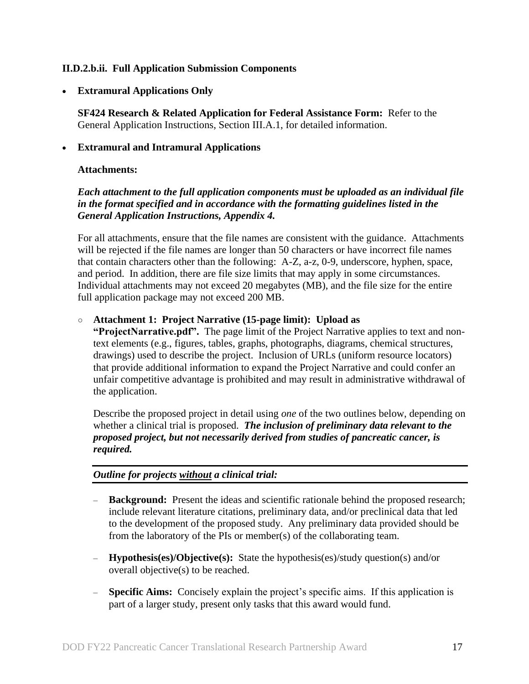#### <span id="page-16-0"></span>**II.D.2.b.ii. Full Application Submission Components**

**Extramural Applications Only**

**SF424 Research & Related Application for Federal Assistance Form:** Refer to the General Application Instructions, Section III.A.1, for detailed information.

#### **Extramural and Intramural Applications**

#### <span id="page-16-1"></span>**Attachments:**

### *Each attachment to the full application components must be uploaded as an individual file in the format specified and in accordance with the formatting guidelines listed in the General Application Instructions, Appendix 4.*

For all attachments, ensure that the file names are consistent with the guidance. Attachments will be rejected if the file names are longer than 50 characters or have incorrect file names that contain characters other than the following: A-Z, a-z, 0-9, underscore, hyphen, space, and period. In addition, there are file size limits that may apply in some circumstances. Individual attachments may not exceed 20 megabytes (MB), and the file size for the entire full application package may not exceed 200 MB.

#### ○ **Attachment 1: Project Narrative (15-page limit): Upload as**

**"ProjectNarrative.pdf".** The page limit of the Project Narrative applies to text and nontext elements (e.g., figures, tables, graphs, photographs, diagrams, chemical structures, drawings) used to describe the project. Inclusion of URLs (uniform resource locators) that provide additional information to expand the Project Narrative and could confer an unfair competitive advantage is prohibited and may result in administrative withdrawal of the application.

Describe the proposed project in detail using *one* of the two outlines below, depending on whether a clinical trial is proposed. *The inclusion of preliminary data relevant to the proposed project, but not necessarily derived from studies of pancreatic cancer, is required.*

### *Outline for projects without a clinical trial:*

- **Background:** Present the ideas and scientific rationale behind the proposed research; include relevant literature citations, preliminary data, and/or preclinical data that led to the development of the proposed study. Any preliminary data provided should be from the laboratory of the PIs or member(s) of the collaborating team.
- **Hypothesis(es)/Objective(s):** State the hypothesis(es)/study question(s) and/or overall objective(s) to be reached.
- **Specific Aims:** Concisely explain the project's specific aims. If this application is part of a larger study, present only tasks that this award would fund.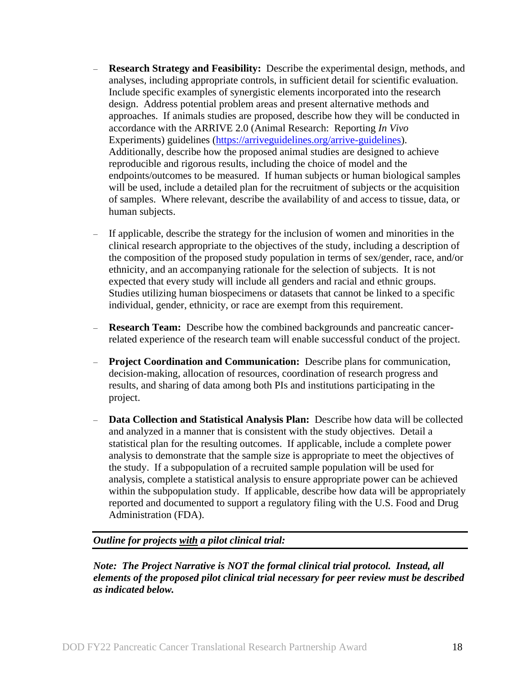- **Research Strategy and Feasibility:** Describe the experimental design, methods, and analyses, including appropriate controls, in sufficient detail for scientific evaluation. Include specific examples of synergistic elements incorporated into the research design. Address potential problem areas and present alternative methods and approaches. If animals studies are proposed, describe how they will be conducted in accordance with the ARRIVE 2.0 (Animal Research: Reporting *In Vivo* Experiments) guidelines [\(https://arriveguidelines.org/arrive-guidelines\)](https://arriveguidelines.org/arrive-guidelines). Additionally, describe how the proposed animal studies are designed to achieve reproducible and rigorous results, including the choice of model and the endpoints/outcomes to be measured. If human subjects or human biological samples will be used, include a detailed plan for the recruitment of subjects or the acquisition of samples. Where relevant, describe the availability of and access to tissue, data, or human subjects.
- If applicable, describe the strategy for the inclusion of women and minorities in the clinical research appropriate to the objectives of the study, including a description of the composition of the proposed study population in terms of sex/gender, race, and/or ethnicity, and an accompanying rationale for the selection of subjects. It is not expected that every study will include all genders and racial and ethnic groups. Studies utilizing human biospecimens or datasets that cannot be linked to a specific individual, gender, ethnicity, or race are exempt from this requirement.
- **Research Team:** Describe how the combined backgrounds and pancreatic cancerrelated experience of the research team will enable successful conduct of the project.
- **Project Coordination and Communication:** Describe plans for communication, decision-making, allocation of resources, coordination of research progress and results, and sharing of data among both PIs and institutions participating in the project.
- **Data Collection and Statistical Analysis Plan:** Describe how data will be collected and analyzed in a manner that is consistent with the study objectives. Detail a statistical plan for the resulting outcomes. If applicable, include a complete power analysis to demonstrate that the sample size is appropriate to meet the objectives of the study. If a subpopulation of a recruited sample population will be used for analysis, complete a statistical analysis to ensure appropriate power can be achieved within the subpopulation study. If applicable, describe how data will be appropriately reported and documented to support a regulatory filing with the U.S. Food and Drug Administration (FDA).

#### *Outline for projects with a pilot clinical trial:*

*Note: The Project Narrative is NOT the formal clinical trial protocol. Instead, all elements of the proposed pilot clinical trial necessary for peer review must be described as indicated below.*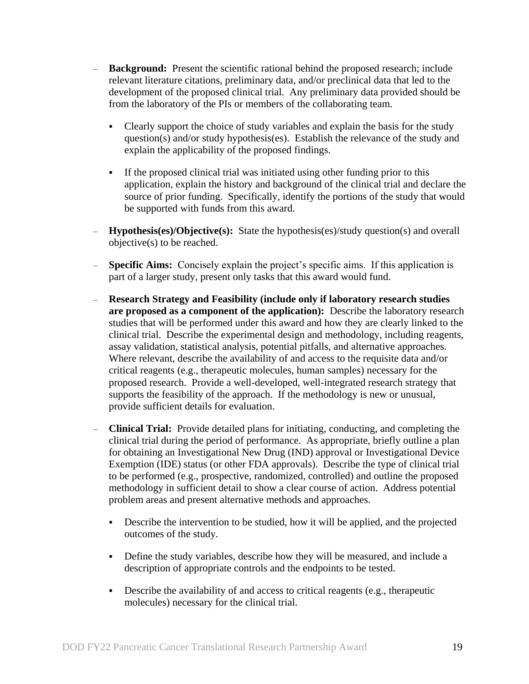- **Background:** Present the scientific rational behind the proposed research; include relevant literature citations, preliminary data, and/or preclinical data that led to the development of the proposed clinical trial. Any preliminary data provided should be from the laboratory of the PIs or members of the collaborating team.
	- Clearly support the choice of study variables and explain the basis for the study question(s) and/or study hypothesis(es). Establish the relevance of the study and explain the applicability of the proposed findings.
	- If the proposed clinical trial was initiated using other funding prior to this application, explain the history and background of the clinical trial and declare the source of prior funding. Specifically, identify the portions of the study that would be supported with funds from this award.
- **Hypothesis(es)/Objective(s):** State the hypothesis(es)/study question(s) and overall objective(s) to be reached.
- **Specific Aims:** Concisely explain the project's specific aims. If this application is part of a larger study, present only tasks that this award would fund.
- **Research Strategy and Feasibility (include only if laboratory research studies are proposed as a component of the application):** Describe the laboratory research studies that will be performed under this award and how they are clearly linked to the clinical trial. Describe the experimental design and methodology, including reagents, assay validation, statistical analysis, potential pitfalls, and alternative approaches. Where relevant, describe the availability of and access to the requisite data and/or critical reagents (e.g., therapeutic molecules, human samples) necessary for the proposed research. Provide a well-developed, well-integrated research strategy that supports the feasibility of the approach. If the methodology is new or unusual, provide sufficient details for evaluation.
- **Clinical Trial:** Provide detailed plans for initiating, conducting, and completing the clinical trial during the period of performance. As appropriate, briefly outline a plan for obtaining an Investigational New Drug (IND) approval or Investigational Device Exemption (IDE) status (or other FDA approvals). Describe the type of clinical trial to be performed (e.g., prospective, randomized, controlled) and outline the proposed methodology in sufficient detail to show a clear course of action. Address potential problem areas and present alternative methods and approaches.
	- Describe the intervention to be studied, how it will be applied, and the projected outcomes of the study.
	- Define the study variables, describe how they will be measured, and include a description of appropriate controls and the endpoints to be tested.
	- Describe the availability of and access to critical reagents (e.g., therapeutic molecules) necessary for the clinical trial.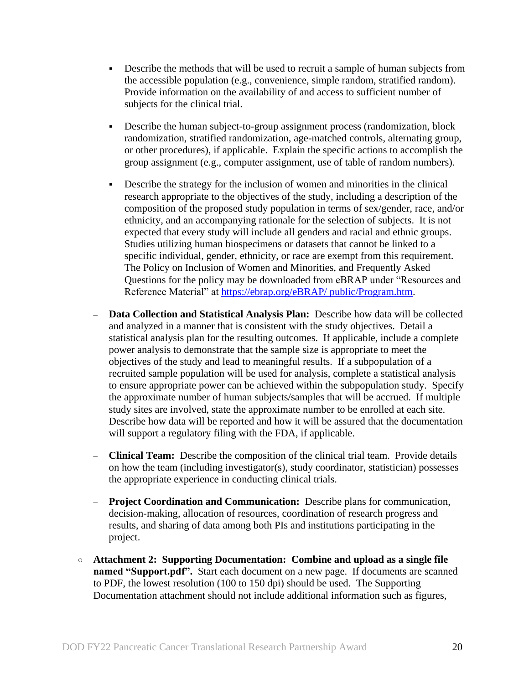- Describe the methods that will be used to recruit a sample of human subjects from the accessible population (e.g., convenience, simple random, stratified random). Provide information on the availability of and access to sufficient number of subjects for the clinical trial.
- Describe the human subject-to-group assignment process (randomization, block randomization, stratified randomization, age-matched controls, alternating group, or other procedures), if applicable. Explain the specific actions to accomplish the group assignment (e.g., computer assignment, use of table of random numbers).
- Describe the strategy for the inclusion of women and minorities in the clinical research appropriate to the objectives of the study, including a description of the composition of the proposed study population in terms of sex/gender, race, and/or ethnicity, and an accompanying rationale for the selection of subjects. It is not expected that every study will include all genders and racial and ethnic groups. Studies utilizing human biospecimens or datasets that cannot be linked to a specific individual, gender, ethnicity, or race are exempt from this requirement. The Policy on Inclusion of Women and Minorities, and Frequently Asked Questions for the policy may be downloaded from eBRAP under "Resources and Reference Material" at [https://ebrap.org/eBRAP/ public/Program.htm.](https://ebrap.org/eBRAP/%20public/Program.htm)
- **Data Collection and Statistical Analysis Plan:** Describe how data will be collected and analyzed in a manner that is consistent with the study objectives. Detail a statistical analysis plan for the resulting outcomes. If applicable, include a complete power analysis to demonstrate that the sample size is appropriate to meet the objectives of the study and lead to meaningful results. If a subpopulation of a recruited sample population will be used for analysis, complete a statistical analysis to ensure appropriate power can be achieved within the subpopulation study. Specify the approximate number of human subjects/samples that will be accrued. If multiple study sites are involved, state the approximate number to be enrolled at each site. Describe how data will be reported and how it will be assured that the documentation will support a regulatory filing with the FDA, if applicable.
- **Clinical Team:** Describe the composition of the clinical trial team. Provide details on how the team (including investigator(s), study coordinator, statistician) possesses the appropriate experience in conducting clinical trials.
- **Project Coordination and Communication:** Describe plans for communication, decision-making, allocation of resources, coordination of research progress and results, and sharing of data among both PIs and institutions participating in the project.
- **Attachment 2: Supporting Documentation: Combine and upload as a single file named "Support.pdf".** Start each document on a new page. If documents are scanned to PDF, the lowest resolution (100 to 150 dpi) should be used. The Supporting Documentation attachment should not include additional information such as figures,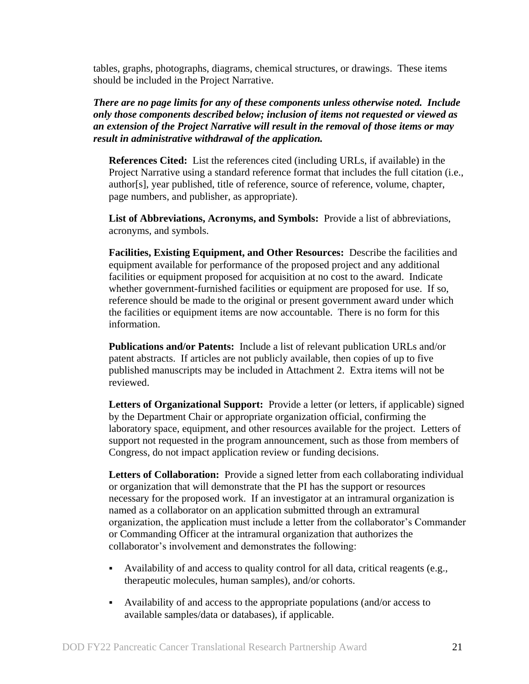tables, graphs, photographs, diagrams, chemical structures, or drawings. These items should be included in the Project Narrative.

*There are no page limits for any of these components unless otherwise noted. Include only those components described below; inclusion of items not requested or viewed as an extension of the Project Narrative will result in the removal of those items or may result in administrative withdrawal of the application.*

**References Cited:** List the references cited (including URLs, if available) in the Project Narrative using a standard reference format that includes the full citation (i.e., author[s], year published, title of reference, source of reference, volume, chapter, page numbers, and publisher, as appropriate).

**List of Abbreviations, Acronyms, and Symbols:** Provide a list of abbreviations, acronyms, and symbols.

**Facilities, Existing Equipment, and Other Resources:** Describe the facilities and equipment available for performance of the proposed project and any additional facilities or equipment proposed for acquisition at no cost to the award. Indicate whether government-furnished facilities or equipment are proposed for use. If so, reference should be made to the original or present government award under which the facilities or equipment items are now accountable. There is no form for this information.

**Publications and/or Patents:** Include a list of relevant publication URLs and/or patent abstracts. If articles are not publicly available, then copies of up to five published manuscripts may be included in Attachment 2. Extra items will not be reviewed.

**Letters of Organizational Support:** Provide a letter (or letters, if applicable) signed by the Department Chair or appropriate organization official, confirming the laboratory space, equipment, and other resources available for the project. Letters of support not requested in the program announcement, such as those from members of Congress, do not impact application review or funding decisions.

**Letters of Collaboration:** Provide a signed letter from each collaborating individual or organization that will demonstrate that the PI has the support or resources necessary for the proposed work. If an investigator at an intramural organization is named as a collaborator on an application submitted through an extramural organization, the application must include a letter from the collaborator's Commander or Commanding Officer at the intramural organization that authorizes the collaborator's involvement and demonstrates the following:

- Availability of and access to quality control for all data, critical reagents (e.g., therapeutic molecules, human samples), and/or cohorts.
- Availability of and access to the appropriate populations (and/or access to available samples/data or databases), if applicable.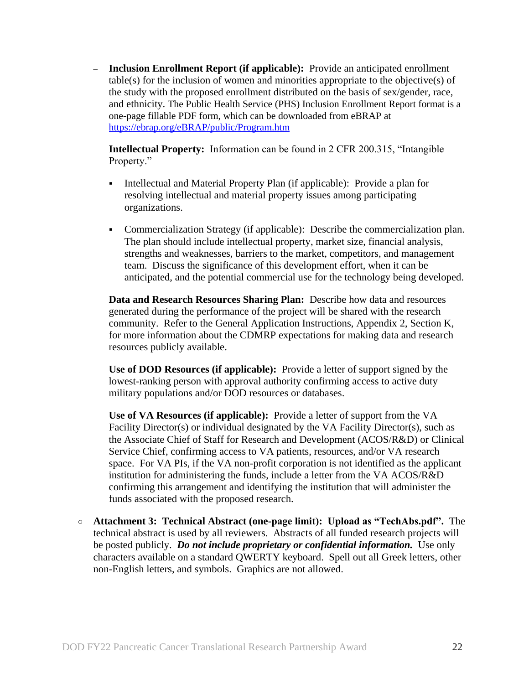– **Inclusion Enrollment Report (if applicable):** Provide an anticipated enrollment table(s) for the inclusion of women and minorities appropriate to the objective(s) of the study with the proposed enrollment distributed on the basis of sex/gender, race, and ethnicity. The Public Health Service (PHS) Inclusion Enrollment Report format is a one-page fillable PDF form, which can be downloaded from eBRAP at <https://ebrap.org/eBRAP/public/Program.htm>

**Intellectual Property:** Information can be found in 2 CFR 200.315, "Intangible Property."

- Intellectual and Material Property Plan (if applicable): Provide a plan for resolving intellectual and material property issues among participating organizations.
- Commercialization Strategy (if applicable): Describe the commercialization plan. The plan should include intellectual property, market size, financial analysis, strengths and weaknesses, barriers to the market, competitors, and management team. Discuss the significance of this development effort, when it can be anticipated, and the potential commercial use for the technology being developed.

**Data and Research Resources Sharing Plan:** Describe how data and resources generated during the performance of the project will be shared with the research community. Refer to the General Application Instructions, Appendix 2, Section K, for more information about the CDMRP expectations for making data and research resources publicly available.

**Use of DOD Resources (if applicable):** Provide a letter of support signed by the lowest-ranking person with approval authority confirming access to active duty military populations and/or DOD resources or databases.

**Use of VA Resources (if applicable):** Provide a letter of support from the VA Facility Director(s) or individual designated by the VA Facility Director(s), such as the Associate Chief of Staff for Research and Development (ACOS/R&D) or Clinical Service Chief, confirming access to VA patients, resources, and/or VA research space. For VA PIs, if the VA non-profit corporation is not identified as the applicant institution for administering the funds, include a letter from the VA ACOS/R&D confirming this arrangement and identifying the institution that will administer the funds associated with the proposed research.

○ **Attachment 3: Technical Abstract (one-page limit): Upload as "TechAbs.pdf".** The technical abstract is used by all reviewers. Abstracts of all funded research projects will be posted publicly. *Do not include proprietary or confidential information.* Use only characters available on a standard QWERTY keyboard. Spell out all Greek letters, other non-English letters, and symbols. Graphics are not allowed.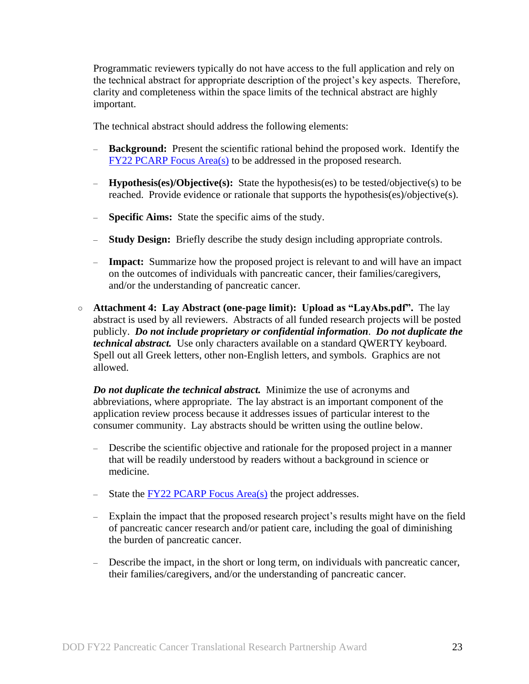Programmatic reviewers typically do not have access to the full application and rely on the technical abstract for appropriate description of the project's key aspects. Therefore, clarity and completeness within the space limits of the technical abstract are highly important.

The technical abstract should address the following elements:

- **Background:** Present the scientific rational behind the proposed work. Identify the FY22 [PCARP Focus Area\(s\)](#page-2-2) to be addressed in the proposed research.
- **Hypothesis(es)/Objective(s):** State the hypothesis(es) to be tested/objective(s) to be reached. Provide evidence or rationale that supports the hypothesis(es)/objective(s).
- **Specific Aims:** State the specific aims of the study.
- **Study Design:** Briefly describe the study design including appropriate controls.
- **Impact:** Summarize how the proposed project is relevant to and will have an impact on the outcomes of individuals with pancreatic cancer, their families/caregivers, and/or the understanding of pancreatic cancer.
- **Attachment 4: Lay Abstract (one-page limit): Upload as "LayAbs.pdf".** The lay abstract is used by all reviewers. Abstracts of all funded research projects will be posted publicly. *Do not include proprietary or confidential information*. *Do not duplicate the technical abstract.* Use only characters available on a standard QWERTY keyboard. Spell out all Greek letters, other non-English letters, and symbols. Graphics are not allowed.

*Do not duplicate the technical abstract.* Minimize the use of acronyms and abbreviations, where appropriate. The lay abstract is an important component of the application review process because it addresses issues of particular interest to the consumer community. Lay abstracts should be written using the outline below.

- Describe the scientific objective and rationale for the proposed project in a manner that will be readily understood by readers without a background in science or medicine.
- State the  $\frac{FY22 PCARP Focus Area(s)}{Fxyz}$  the project addresses.
- Explain the impact that the proposed research project's results might have on the field of pancreatic cancer research and/or patient care, including the goal of diminishing the burden of pancreatic cancer.
- Describe the impact, in the short or long term, on individuals with pancreatic cancer, their families/caregivers, and/or the understanding of pancreatic cancer.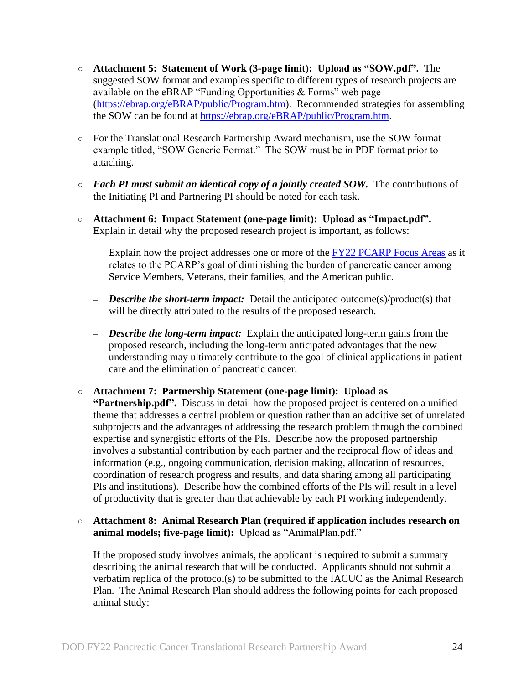- **Attachment 5: Statement of Work (3-page limit): Upload as "SOW.pdf".** The suggested SOW format and examples specific to different types of research projects are available on the eBRAP "Funding Opportunities & Forms" web page [\(https://ebrap.org/eBRAP/public/Program.htm\)](https://ebrap.org/eBRAP/public/Program.htm). Recommended strategies for assembling the SOW can be found at [https://ebrap.org/eBRAP/public/Program.htm.](https://ebrap.org/eBRAP/public/Program.htm)
- For the Translational Research Partnership Award mechanism, use the SOW format example titled, "SOW Generic Format." The SOW must be in PDF format prior to attaching.
- *Each PI must submit an identical copy of a jointly created SOW.* The contributions of the Initiating PI and Partnering PI should be noted for each task.
- **Attachment 6: Impact Statement (one-page limit): Upload as "Impact.pdf".** Explain in detail why the proposed research project is important, as follows:
	- Explain how the project addresses one or more of the FY22 [PCARP Focus Areas](#page-2-2) as it relates to the PCARP's goal of diminishing the burden of pancreatic cancer among Service Members, Veterans, their families, and the American public.
	- *Describe the short-term impact:* Detail the anticipated outcome(s)/product(s) that will be directly attributed to the results of the proposed research.
	- *Describe the long-term impact:* Explain the anticipated long-term gains from the proposed research, including the long-term anticipated advantages that the new understanding may ultimately contribute to the goal of clinical applications in patient care and the elimination of pancreatic cancer.
- **Attachment 7: Partnership Statement (one-page limit): Upload as "Partnership.pdf".** Discuss in detail how the proposed project is centered on a unified theme that addresses a central problem or question rather than an additive set of unrelated subprojects and the advantages of addressing the research problem through the combined expertise and synergistic efforts of the PIs. Describe how the proposed partnership involves a substantial contribution by each partner and the reciprocal flow of ideas and information (e.g., ongoing communication, decision making, allocation of resources, coordination of research progress and results, and data sharing among all participating PIs and institutions). Describe how the combined efforts of the PIs will result in a level of productivity that is greater than that achievable by each PI working independently.
- **Attachment 8: Animal Research Plan (required if application includes research on animal models; five-page limit):** Upload as "AnimalPlan.pdf."

If the proposed study involves animals, the applicant is required to submit a summary describing the animal research that will be conducted. Applicants should not submit a verbatim replica of the protocol(s) to be submitted to the IACUC as the Animal Research Plan. The Animal Research Plan should address the following points for each proposed animal study: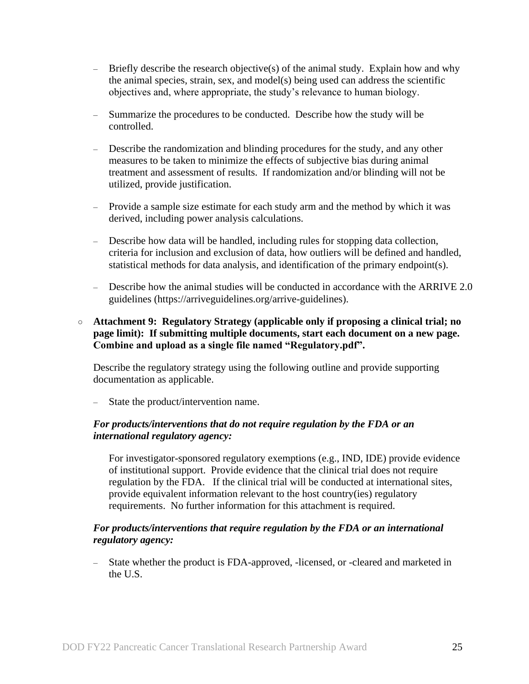- Briefly describe the research objective(s) of the animal study. Explain how and why the animal species, strain, sex, and model(s) being used can address the scientific objectives and, where appropriate, the study's relevance to human biology.
- Summarize the procedures to be conducted. Describe how the study will be controlled.
- Describe the randomization and blinding procedures for the study, and any other measures to be taken to minimize the effects of subjective bias during animal treatment and assessment of results. If randomization and/or blinding will not be utilized, provide justification.
- Provide a sample size estimate for each study arm and the method by which it was derived, including power analysis calculations.
- Describe how data will be handled, including rules for stopping data collection, criteria for inclusion and exclusion of data, how outliers will be defined and handled, statistical methods for data analysis, and identification of the primary endpoint(s).
- Describe how the animal studies will be conducted in accordance with the ARRIVE 2.0 guidelines (https://arriveguidelines.org/arrive-guidelines).

#### ○ **Attachment 9: Regulatory Strategy (applicable only if proposing a clinical trial; no page limit): If submitting multiple documents, start each document on a new page. Combine and upload as a single file named "Regulatory.pdf".**

Describe the regulatory strategy using the following outline and provide supporting documentation as applicable.

State the product/intervention name.

### *For products/interventions that do not require regulation by the FDA or an international regulatory agency:*

For investigator-sponsored regulatory exemptions (e.g., IND, IDE) provide evidence of institutional support. Provide evidence that the clinical trial does not require regulation by the FDA. If the clinical trial will be conducted at international sites, provide equivalent information relevant to the host country(ies) regulatory requirements. No further information for this attachment is required.

#### *For products/interventions that require regulation by the FDA or an international regulatory agency:*

– State whether the product is FDA-approved, -licensed, or -cleared and marketed in the U.S.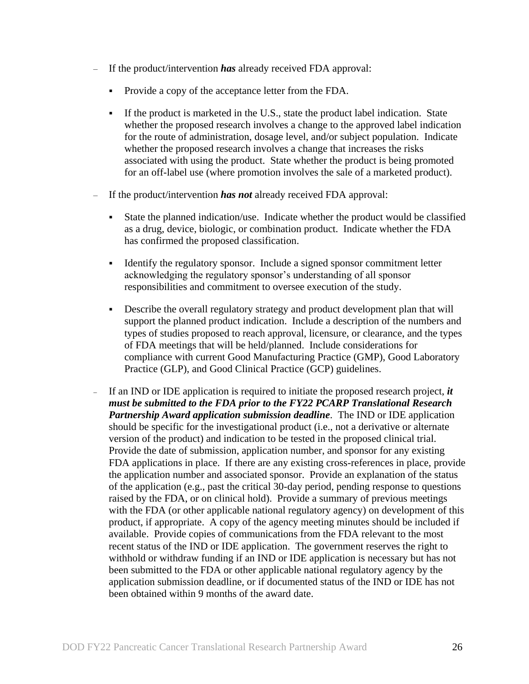- If the product/intervention *has* already received FDA approval:
	- Provide a copy of the acceptance letter from the FDA.
	- If the product is marketed in the U.S., state the product label indication. State whether the proposed research involves a change to the approved label indication for the route of administration, dosage level, and/or subject population. Indicate whether the proposed research involves a change that increases the risks associated with using the product. State whether the product is being promoted for an off-label use (where promotion involves the sale of a marketed product).
- If the product/intervention *has not* already received FDA approval:
	- State the planned indication/use. Indicate whether the product would be classified as a drug, device, biologic, or combination product. Indicate whether the FDA has confirmed the proposed classification.
	- Identify the regulatory sponsor. Include a signed sponsor commitment letter acknowledging the regulatory sponsor's understanding of all sponsor responsibilities and commitment to oversee execution of the study.
	- Describe the overall regulatory strategy and product development plan that will support the planned product indication. Include a description of the numbers and types of studies proposed to reach approval, licensure, or clearance, and the types of FDA meetings that will be held/planned. Include considerations for compliance with current Good Manufacturing Practice (GMP), Good Laboratory Practice (GLP), and Good Clinical Practice (GCP) guidelines.
- If an IND or IDE application is required to initiate the proposed research project, *it must be submitted to the FDA prior to the FY22 PCARP Translational Research Partnership Award application submission deadline*. The IND or IDE application should be specific for the investigational product (i.e., not a derivative or alternate version of the product) and indication to be tested in the proposed clinical trial. Provide the date of submission, application number, and sponsor for any existing FDA applications in place. If there are any existing cross-references in place, provide the application number and associated sponsor. Provide an explanation of the status of the application (e.g., past the critical 30-day period, pending response to questions raised by the FDA, or on clinical hold). Provide a summary of previous meetings with the FDA (or other applicable national regulatory agency) on development of this product, if appropriate. A copy of the agency meeting minutes should be included if available. Provide copies of communications from the FDA relevant to the most recent status of the IND or IDE application. The government reserves the right to withhold or withdraw funding if an IND or IDE application is necessary but has not been submitted to the FDA or other applicable national regulatory agency by the application submission deadline, or if documented status of the IND or IDE has not been obtained within 9 months of the award date.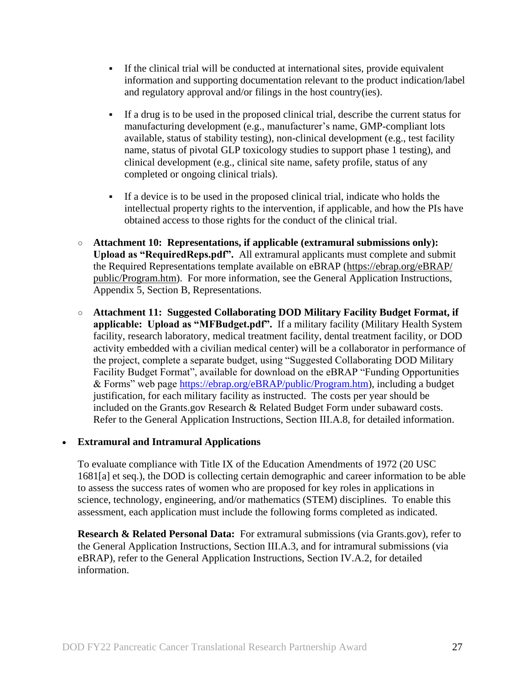- If the clinical trial will be conducted at international sites, provide equivalent information and supporting documentation relevant to the product indication/label and regulatory approval and/or filings in the host country(ies).
- If a drug is to be used in the proposed clinical trial, describe the current status for manufacturing development (e.g., manufacturer's name, GMP-compliant lots available, status of stability testing), non-clinical development (e.g., test facility name, status of pivotal GLP toxicology studies to support phase 1 testing), and clinical development (e.g., clinical site name, safety profile, status of any completed or ongoing clinical trials).
- If a device is to be used in the proposed clinical trial, indicate who holds the intellectual property rights to the intervention, if applicable, and how the PIs have obtained access to those rights for the conduct of the clinical trial.
- **Attachment 10: Representations, if applicable (extramural submissions only): Upload as "RequiredReps.pdf".** All extramural applicants must complete and submit the Required Representations template available on eBRAP [\(https://ebrap.org/eBRAP/](https://ebrap.org/eBRAP/public/Program.htm) [public/Program.htm\)](https://ebrap.org/eBRAP/public/Program.htm). For more information, see the General Application Instructions, Appendix 5, Section B, Representations.
- <span id="page-26-1"></span>○ **Attachment 11: Suggested Collaborating DOD Military Facility Budget Format, if applicable: Upload as "MFBudget.pdf".** If a military facility (Military Health System facility, research laboratory, medical treatment facility, dental treatment facility, or DOD activity embedded with a civilian medical center) will be a collaborator in performance of the project, complete a separate budget, using "Suggested Collaborating DOD Military Facility Budget Format", available for download on the eBRAP "Funding Opportunities & Forms" web page [https://ebrap.org/eBRAP/public/Program.htm\)](https://ebrap.org/eBRAP/public/Program.htm), including a budget justification, for each military facility as instructed. The costs per year should be included on the Grants.gov Research & Related Budget Form under subaward costs. Refer to the General Application Instructions, Section III.A.8, for detailed information.

### **Extramural and Intramural Applications**

To evaluate compliance with Title IX of the Education Amendments of 1972 (20 USC 1681[a] et seq.), the DOD is collecting certain demographic and career information to be able to assess the success rates of women who are proposed for key roles in applications in science, technology, engineering, and/or mathematics (STEM) disciplines. To enable this assessment, each application must include the following forms completed as indicated.

<span id="page-26-0"></span>**Research & Related Personal Data:** For extramural submissions (via Grants.gov), refer to the General Application Instructions, Section III.A.3, and for intramural submissions (via eBRAP), refer to the General Application Instructions, Section IV.A.2, for detailed information.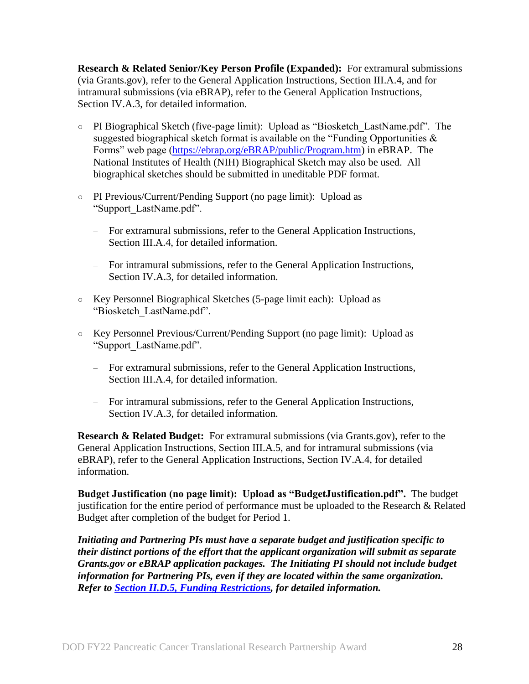<span id="page-27-0"></span>**Research & Related Senior/Key Person Profile (Expanded):** For extramural submissions (via Grants.gov), refer to the General Application Instructions, Section III.A.4, and for intramural submissions (via eBRAP), refer to the General Application Instructions, Section IV.A.3, for detailed information.

- PI Biographical Sketch (five-page limit): Upload as "Biosketch\_LastName.pdf". The suggested biographical sketch format is available on the "Funding Opportunities  $\&$ Forms" web page [\(https://ebrap.org/eBRAP/public/Program.htm\)](https://ebrap.org/eBRAP/public/Program.htm) in eBRAP. The National Institutes of Health (NIH) Biographical Sketch may also be used. All biographical sketches should be submitted in uneditable PDF format.
- PI Previous/Current/Pending Support (no page limit): Upload as "Support\_LastName.pdf".
	- For extramural submissions, refer to the General Application Instructions, Section III.A.4, for detailed information.
	- For intramural submissions, refer to the General Application Instructions, Section IV.A.3, for detailed information.
- Key Personnel Biographical Sketches (5-page limit each): Upload as "Biosketch\_LastName.pdf".
- Key Personnel Previous/Current/Pending Support (no page limit): Upload as "Support\_LastName.pdf".
	- For extramural submissions, refer to the General Application Instructions, Section III.A.4, for detailed information.
	- For intramural submissions, refer to the General Application Instructions, Section IV.A.3, for detailed information.

<span id="page-27-1"></span>**Research & Related Budget:** For extramural submissions (via Grants.gov), refer to the General Application Instructions, Section III.A.5, and for intramural submissions (via eBRAP), refer to the General Application Instructions, Section IV.A.4, for detailed information.

**Budget Justification (no page limit): Upload as "BudgetJustification.pdf".** The budget justification for the entire period of performance must be uploaded to the Research & Related Budget after completion of the budget for Period 1.

*Initiating and Partnering PIs must have a separate budget and justification specific to their distinct portions of the effort that the applicant organization will submit as separate Grants.gov or eBRAP application packages. The Initiating PI should not include budget information for Partnering PIs, even if they are located within the same organization. Refer to Section [II.D.5, Funding Restrictions,](#page-32-0) for detailed information.*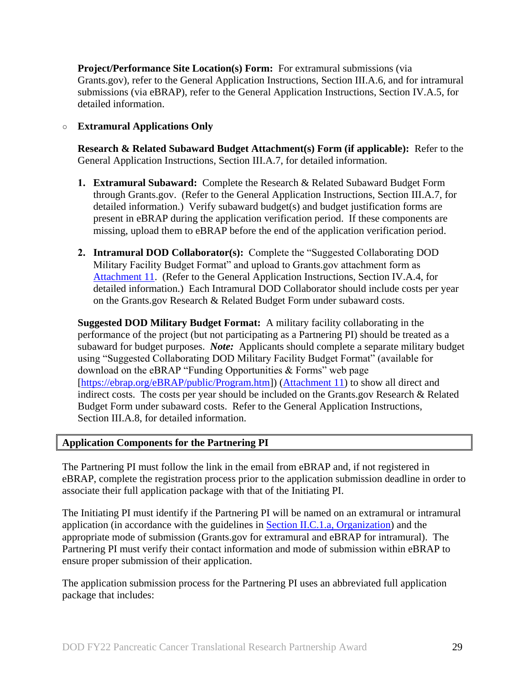<span id="page-28-0"></span>**Project/Performance Site Location(s) Form:** For extramural submissions (via Grants.gov), refer to the General Application Instructions, Section III.A.6, and for intramural submissions (via eBRAP), refer to the General Application Instructions, Section IV.A.5, for detailed information.

#### ○ **Extramural Applications Only**

<span id="page-28-1"></span>**Research & Related Subaward Budget Attachment(s) Form (if applicable):** Refer to the General Application Instructions, Section III.A.7, for detailed information.

- **1. Extramural Subaward:** Complete the Research & Related Subaward Budget Form through Grants.gov. (Refer to the General Application Instructions, Section III.A.7, for detailed information.) Verify subaward budget(s) and budget justification forms are present in eBRAP during the application verification period. If these components are missing, upload them to eBRAP before the end of the application verification period.
- **2. Intramural DOD Collaborator(s):** Complete the "Suggested Collaborating DOD Military Facility Budget Format" and upload to Grants.gov attachment form as [Attachment 11.](#page-26-1) (Refer to the General Application Instructions, Section IV.A.4, for detailed information.) Each Intramural DOD Collaborator should include costs per year on the Grants.gov Research & Related Budget Form under subaward costs.

**Suggested DOD Military Budget Format:** A military facility collaborating in the performance of the project (but not participating as a Partnering PI) should be treated as a subaward for budget purposes. *Note*: Applicants should complete a separate military budget using "Suggested Collaborating DOD Military Facility Budget Format" (available for download on the eBRAP "Funding Opportunities & Forms" web page [\[https://ebrap.org/eBRAP/public/Program.htm\]](https://ebrap.org/eBRAP/public/Program.htm)) [\(Attachment 11\)](#page-26-1) to show all direct and indirect costs. The costs per year should be included on the Grants.gov Research & Related Budget Form under subaward costs. Refer to the General Application Instructions, Section III.A.8, for detailed information.

#### <span id="page-28-2"></span>**Application Components for the Partnering PI**

The Partnering PI must follow the link in the email from eBRAP and, if not registered in eBRAP, complete the registration process prior to the application submission deadline in order to associate their full application package with that of the Initiating PI.

The Initiating PI must identify if the Partnering PI will be named on an extramural or intramural application (in accordance with the guidelines in Section [II.C.1.a, Organization\)](#page-7-2) and the appropriate mode of submission (Grants.gov for extramural and eBRAP for intramural). The Partnering PI must verify their contact information and mode of submission within eBRAP to ensure proper submission of their application.

The application submission process for the Partnering PI uses an abbreviated full application package that includes: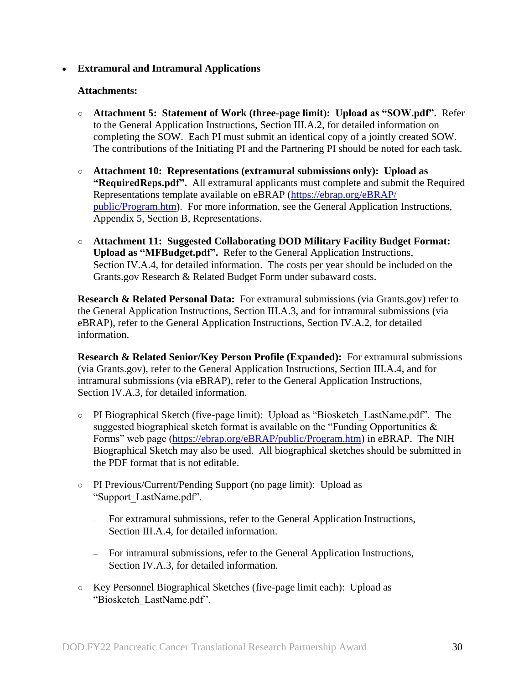#### **Extramural and Intramural Applications**

#### **Attachments:**

- **Attachment 5: Statement of Work (three-page limit): Upload as "SOW.pdf".** Refer to the General Application Instructions, Section III.A.2, for detailed information on completing the SOW. Each PI must submit an identical copy of a jointly created SOW. The contributions of the Initiating PI and the Partnering PI should be noted for each task.
- **Attachment 10: Representations (extramural submissions only): Upload as "RequiredReps.pdf".** All extramural applicants must complete and submit the Required Representations template available on eBRAP [\(https://ebrap.org/eBRAP/](https://ebrap.org/eBRAP/public/Program.htm) [public/Program.htm\)](https://ebrap.org/eBRAP/public/Program.htm). For more information, see the General Application Instructions, Appendix 5, Section B, Representations.
- **Attachment 11: Suggested Collaborating DOD Military Facility Budget Format: Upload as "MFBudget.pdf".** Refer to the General Application Instructions, Section IV.A.4, for detailed information. The costs per year should be included on the Grants.gov Research & Related Budget Form under subaward costs.

**Research & Related Personal Data:** For extramural submissions (via Grants.gov) refer to the General Application Instructions, Section III.A.3, and for intramural submissions (via eBRAP), refer to the General Application Instructions, Section IV.A.2, for detailed information.

**Research & Related Senior/Key Person Profile (Expanded):** For extramural submissions (via Grants.gov), refer to the General Application Instructions, Section III.A.4, and for intramural submissions (via eBRAP), refer to the General Application Instructions, Section IV.A.3, for detailed information.

- PI Biographical Sketch (five-page limit): Upload as "Biosketch\_LastName.pdf". The suggested biographical sketch format is available on the "Funding Opportunities  $\&$ Forms" web page [\(https://ebrap.org/eBRAP/public/Program.htm\)](https://ebrap.org/eBRAP/public/Program.htm) in eBRAP. The NIH Biographical Sketch may also be used. All biographical sketches should be submitted in the PDF format that is not editable.
- PI Previous/Current/Pending Support (no page limit): Upload as "Support\_LastName.pdf".
	- For extramural submissions, refer to the General Application Instructions, Section III.A.4, for detailed information.
	- For intramural submissions, refer to the General Application Instructions, Section IV.A.3, for detailed information.
- Key Personnel Biographical Sketches (five-page limit each): Upload as "Biosketch\_LastName.pdf".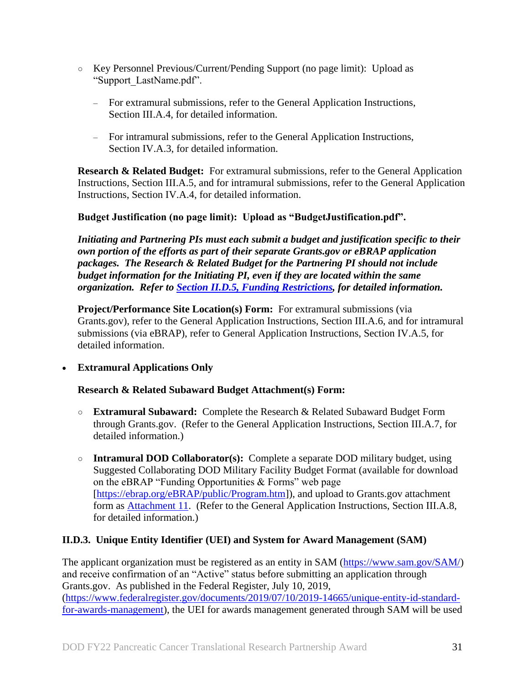- Key Personnel Previous/Current/Pending Support (no page limit): Upload as "Support\_LastName.pdf".
	- For extramural submissions, refer to the General Application Instructions, Section III.A.4, for detailed information.
	- For intramural submissions, refer to the General Application Instructions, Section IV.A.3, for detailed information.

**Research & Related Budget:** For extramural submissions, refer to the General Application Instructions, Section III.A.5, and for intramural submissions, refer to the General Application Instructions, Section IV.A.4, for detailed information.

### **Budget Justification (no page limit): Upload as "BudgetJustification.pdf".**

*Initiating and Partnering PIs must each submit a budget and justification specific to their own portion of the efforts as part of their separate Grants.gov or eBRAP application packages. The Research & Related Budget for the Partnering PI should not include budget information for the Initiating PI, even if they are located within the same organization. Refer to [Section II.D.5, Funding Restrictions,](#page-32-0) for detailed information.* 

**Project/Performance Site Location(s) Form:** For extramural submissions (via Grants.gov), refer to the General Application Instructions, Section III.A.6, and for intramural submissions (via eBRAP), refer to General Application Instructions, Section IV.A.5, for detailed information.

### **Extramural Applications Only**

### **Research & Related Subaward Budget Attachment(s) Form:**

- **Extramural Subaward:** Complete the Research & Related Subaward Budget Form through Grants.gov. (Refer to the General Application Instructions, Section III.A.7, for detailed information.)
- **Intramural DOD Collaborator(s):** Complete a separate DOD military budget, using Suggested Collaborating DOD Military Facility Budget Format (available for download on the eBRAP "Funding Opportunities & Forms" web page [\[https://ebrap.org/eBRAP/public/Program.htm\]](https://ebrap.org/eBRAP/public/Program.htm)), and upload to Grants.gov attachment form as [Attachment 11.](#page-26-1) (Refer to the General Application Instructions, Section III.A.8, for detailed information.)

## <span id="page-30-0"></span>**II.D.3. Unique Entity Identifier (UEI) and System for Award Management (SAM)**

The applicant organization must be registered as an entity in SAM [\(https://www.sam.gov/SAM/\)](https://www.sam.gov/SAM/) and receive confirmation of an "Active" status before submitting an application through Grants.gov. As published in the Federal Register, July 10, 2019, [\(https://www.federalregister.gov/documents/2019/07/10/2019-14665/unique-entity-id-standard](https://www.federalregister.gov/documents/2019/07/10/2019-14665/unique-entity-id-standard-for-awards-management)[for-awards-management\)](https://www.federalregister.gov/documents/2019/07/10/2019-14665/unique-entity-id-standard-for-awards-management), the UEI for awards management generated through SAM will be used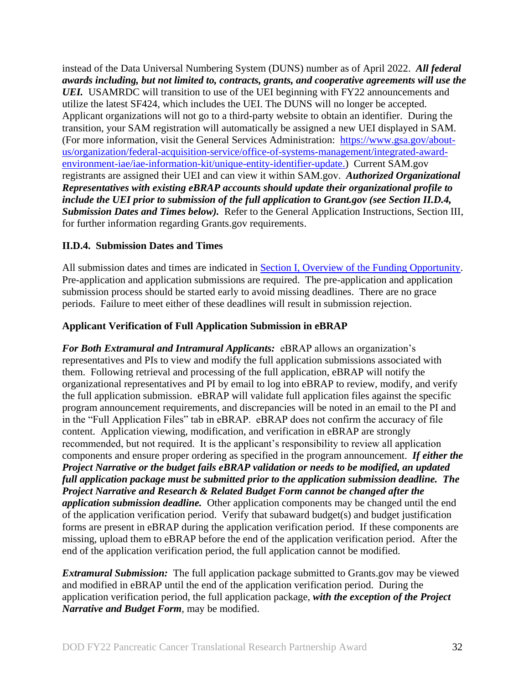instead of the Data Universal Numbering System (DUNS) number as of April 2022. *All federal awards including, but not limited to, contracts, grants, and cooperative agreements will use the UEI.* USAMRDC will transition to use of the UEI beginning with FY22 announcements and utilize the latest SF424, which includes the UEI. The DUNS will no longer be accepted. Applicant organizations will not go to a third-party website to obtain an identifier. During the transition, your SAM registration will automatically be assigned a new UEI displayed in SAM. (For more information, visit the General Services Administration: [https://www.gsa.gov/about](https://www.gsa.gov/about-us/organization/federal-acquisition-service/office-of-systems-management/integrated-award-environment-iae/iae-information-kit/unique-entity-identifier-update)[us/organization/federal-acquisition-service/office-of-systems-management/integrated-award](https://www.gsa.gov/about-us/organization/federal-acquisition-service/office-of-systems-management/integrated-award-environment-iae/iae-information-kit/unique-entity-identifier-update)[environment-iae/iae-information-kit/unique-entity-identifier-update.](https://www.gsa.gov/about-us/organization/federal-acquisition-service/office-of-systems-management/integrated-award-environment-iae/iae-information-kit/unique-entity-identifier-update)) Current SAM.gov registrants are assigned their UEI and can view it within SAM.gov. *Authorized Organizational Representatives with existing eBRAP accounts should update their organizational profile to include the UEI prior to submission of the full application to Grant.gov (see Section II.D.4, Submission Dates and Times below).* Refer to the General Application Instructions, Section III, for further information regarding Grants.gov requirements.

#### <span id="page-31-0"></span>**II.D.4. Submission Dates and Times**

All submission dates and times are indicated in [Section I, Overview of the Funding Opportunity.](#page-0-1) Pre-application and application submissions are required. The pre-application and application submission process should be started early to avoid missing deadlines. There are no grace periods. Failure to meet either of these deadlines will result in submission rejection.

#### <span id="page-31-1"></span>**Applicant Verification of Full Application Submission in eBRAP**

*For Both Extramural and Intramural Applicants:* eBRAP allows an organization's representatives and PIs to view and modify the full application submissions associated with them. Following retrieval and processing of the full application, eBRAP will notify the organizational representatives and PI by email to log into eBRAP to review, modify, and verify the full application submission. eBRAP will validate full application files against the specific program announcement requirements, and discrepancies will be noted in an email to the PI and in the "Full Application Files" tab in eBRAP. eBRAP does not confirm the accuracy of file content. Application viewing, modification, and verification in eBRAP are strongly recommended, but not required. It is the applicant's responsibility to review all application components and ensure proper ordering as specified in the program announcement. *If either the Project Narrative or the budget fails eBRAP validation or needs to be modified, an updated full application package must be submitted prior to the application submission deadline. The Project Narrative and Research & Related Budget Form cannot be changed after the application submission deadline.* Other application components may be changed until the end of the [application verification period.](#page-0-0) Verify that subaward budget(s) and budget justification forms are present in eBRAP during the application verification period. If these components are missing, upload them to eBRAP before the end of the application verification period. After the end of the application verification period, the full application cannot be modified.

*Extramural Submission:* The full application package submitted to Grants.gov may be viewed and modified in eBRAP until the end of the application verification period. During the application verification period, the full application package, *with the exception of the Project Narrative and Budget Form,* may be modified.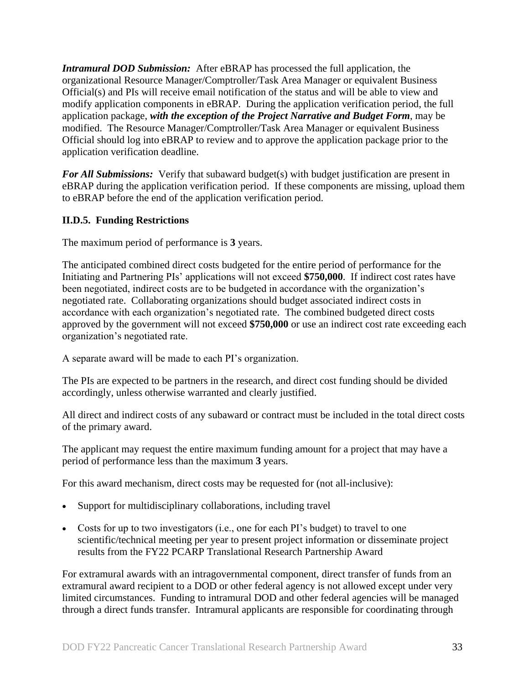*Intramural DOD Submission:* After eBRAP has processed the full application, the organizational Resource Manager/Comptroller/Task Area Manager or equivalent Business Official(s) and PIs will receive email notification of the status and will be able to view and modify application components in eBRAP. During the application verification period, the full application package, *with the exception of the Project Narrative and Budget Form*, may be modified. The Resource Manager/Comptroller/Task Area Manager or equivalent Business Official should log into eBRAP to review and to approve the application package prior to the application verification deadline.

*For All Submissions:* Verify that subaward budget(s) with budget justification are present in eBRAP during the application verification period. If these components are missing, upload them to eBRAP before the end of the application verification period.

### <span id="page-32-0"></span>**II.D.5. Funding Restrictions**

The maximum period of performance is **3** years.

The anticipated combined direct costs budgeted for the entire period of performance for the Initiating and Partnering PIs' applications will not exceed **\$750,000**. If indirect cost rates have been negotiated, indirect costs are to be budgeted in accordance with the organization's negotiated rate. Collaborating organizations should budget associated indirect costs in accordance with each organization's negotiated rate. The combined budgeted direct costs approved by the government will not exceed **\$750,000** or use an indirect cost rate exceeding each organization's negotiated rate.

A separate award will be made to each PI's organization.

The PIs are expected to be partners in the research, and direct cost funding should be divided accordingly, unless otherwise warranted and clearly justified.

All direct and indirect costs of any subaward or contract must be included in the total direct costs of the primary award.

The applicant may request the entire maximum funding amount for a project that may have a period of performance less than the maximum **3** years.

For this award mechanism, direct costs may be requested for (not all-inclusive):

- Support for multidisciplinary collaborations, including travel
- Costs for up to two investigators (i.e., one for each PI's budget) to travel to one scientific/technical meeting per year to present project information or disseminate project results from the FY22 PCARP Translational Research Partnership Award

For extramural awards with an intragovernmental component, direct transfer of funds from an extramural award recipient to a DOD or other federal agency is not allowed except under very limited circumstances. Funding to intramural DOD and other federal agencies will be managed through a direct funds transfer. Intramural applicants are responsible for coordinating through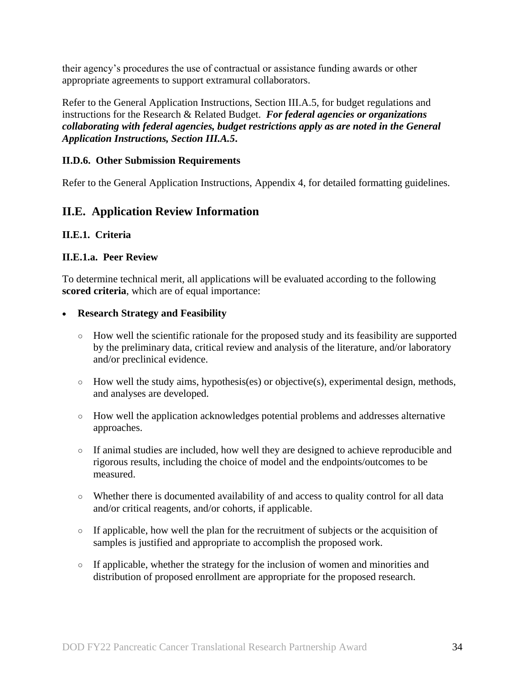their agency's procedures the use of contractual or assistance funding awards or other appropriate agreements to support extramural collaborators.

Refer to the General Application Instructions, Section III.A.5, for budget regulations and instructions for the Research & Related Budget. *For federal agencies or organizations collaborating with federal agencies, budget restrictions apply as are noted in the General Application Instructions, Section III.A.5***.**

#### <span id="page-33-0"></span>**II.D.6. Other Submission Requirements**

Refer to the General Application Instructions, Appendix 4, for detailed formatting guidelines.

## <span id="page-33-1"></span>**II.E. Application Review Information**

#### <span id="page-33-2"></span>**II.E.1. Criteria**

#### **II.E.1.a. Peer Review**

To determine technical merit, all applications will be evaluated according to the following **scored criteria**, which are of equal importance:

#### **Research Strategy and Feasibility**

- How well the scientific rationale for the proposed study and its feasibility are supported by the preliminary data, critical review and analysis of the literature, and/or laboratory and/or preclinical evidence.
- $\circ$  How well the study aims, hypothesis(es) or objective(s), experimental design, methods, and analyses are developed.
- How well the application acknowledges potential problems and addresses alternative approaches.
- If animal studies are included, how well they are designed to achieve reproducible and rigorous results, including the choice of model and the endpoints/outcomes to be measured.
- Whether there is documented availability of and access to quality control for all data and/or critical reagents, and/or cohorts, if applicable.
- If applicable, how well the plan for the recruitment of subjects or the acquisition of samples is justified and appropriate to accomplish the proposed work.
- If applicable, whether the strategy for the inclusion of women and minorities and distribution of proposed enrollment are appropriate for the proposed research.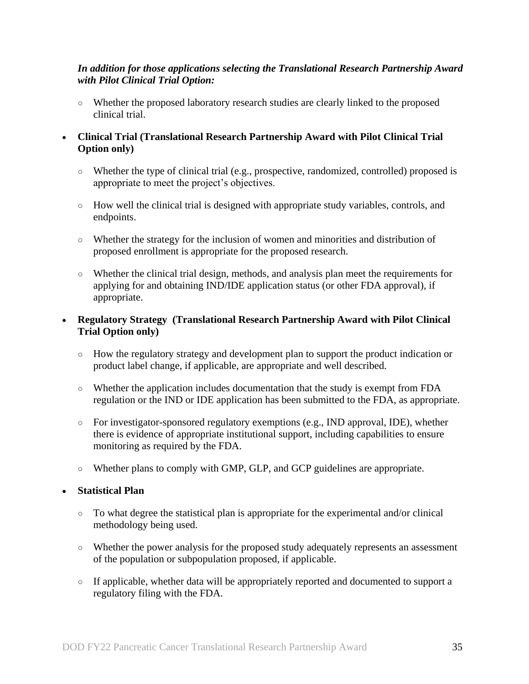#### *In addition for those applications selecting the Translational Research Partnership Award with Pilot Clinical Trial Option:*

○ Whether the proposed laboratory research studies are clearly linked to the proposed clinical trial.

#### **Clinical Trial (Translational Research Partnership Award with Pilot Clinical Trial Option only)**

- Whether the type of clinical trial (e.g., prospective, randomized, controlled) proposed is appropriate to meet the project's objectives.
- How well the clinical trial is designed with appropriate study variables, controls, and endpoints.
- Whether the strategy for the inclusion of women and minorities and distribution of proposed enrollment is appropriate for the proposed research.
- Whether the clinical trial design, methods, and analysis plan meet the requirements for applying for and obtaining IND/IDE application status (or other FDA approval), if appropriate.

#### **Regulatory Strategy (Translational Research Partnership Award with Pilot Clinical Trial Option only)**

- How the regulatory strategy and development plan to support the product indication or product label change, if applicable, are appropriate and well described.
- Whether the application includes documentation that the study is exempt from FDA regulation or the IND or IDE application has been submitted to the FDA, as appropriate.
- For investigator-sponsored regulatory exemptions (e.g., IND approval, IDE), whether there is evidence of appropriate institutional support, including capabilities to ensure monitoring as required by the FDA.
- Whether plans to comply with GMP, GLP, and GCP guidelines are appropriate.

### **Statistical Plan**

- To what degree the statistical plan is appropriate for the experimental and/or clinical methodology being used.
- Whether the power analysis for the proposed study adequately represents an assessment of the population or subpopulation proposed, if applicable.
- If applicable, whether data will be appropriately reported and documented to support a regulatory filing with the FDA.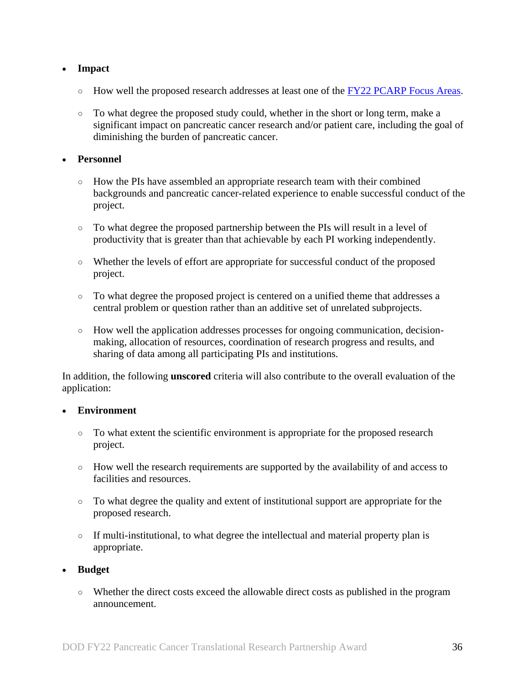### **Impact**

- $\circ$  How well the proposed research addresses at least one of the FY22 [PCARP Focus Areas.](#page-2-2)
- To what degree the proposed study could, whether in the short or long term, make a significant impact on pancreatic cancer research and/or patient care, including the goal of diminishing the burden of pancreatic cancer.

#### **Personnel**

- How the PIs have assembled an appropriate research team with their combined backgrounds and pancreatic cancer-related experience to enable successful conduct of the project.
- To what degree the proposed partnership between the PIs will result in a level of productivity that is greater than that achievable by each PI working independently.
- Whether the levels of effort are appropriate for successful conduct of the proposed project.
- To what degree the proposed project is centered on a unified theme that addresses a central problem or question rather than an additive set of unrelated subprojects.
- How well the application addresses processes for ongoing communication, decisionmaking, allocation of resources, coordination of research progress and results, and sharing of data among all participating PIs and institutions.

In addition, the following **unscored** criteria will also contribute to the overall evaluation of the application:

#### **Environment**

- To what extent the scientific environment is appropriate for the proposed research project.
- How well the research requirements are supported by the availability of and access to facilities and resources.
- To what degree the quality and extent of institutional support are appropriate for the proposed research.
- If multi-institutional, to what degree the intellectual and material property plan is appropriate.

#### **Budget**

○ Whether the direct costs exceed the allowable direct costs as published in the program announcement.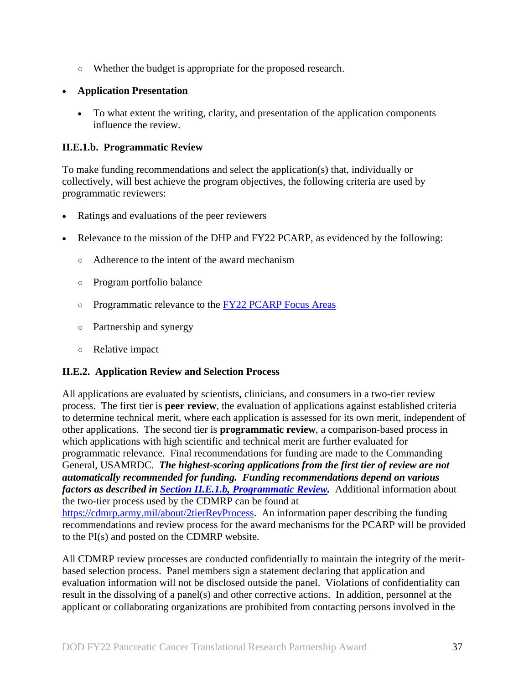○ Whether the budget is appropriate for the proposed research.

## **Application Presentation**

 To what extent the writing, clarity, and presentation of the application components influence the review.

## <span id="page-36-1"></span>**II.E.1.b. Programmatic Review**

To make funding recommendations and select the application(s) that, individually or collectively, will best achieve the program objectives, the following criteria are used by programmatic reviewers:

- Ratings and evaluations of the peer reviewers
- Relevance to the mission of the DHP and FY22 PCARP, as evidenced by the following:
	- Adherence to the intent of the award mechanism
	- Program portfolio balance
	- o Programmatic relevance to the [FY22 PCARP Focus Areas](#page-2-2)
	- Partnership and synergy
	- Relative impact

## <span id="page-36-0"></span>**II.E.2. Application Review and Selection Process**

All applications are evaluated by scientists, clinicians, and consumers in a two-tier review process. The first tier is **peer review**, the evaluation of applications against established criteria to determine technical merit, where each application is assessed for its own merit, independent of other applications. The second tier is **programmatic review**, a comparison-based process in which applications with high scientific and technical merit are further evaluated for programmatic relevance. Final recommendations for funding are made to the Commanding General, USAMRDC. *The highest-scoring applications from the first tier of review are not automatically recommended for funding. Funding recommendations depend on various factors as described in Section [II.E.1.b, Programmatic Review.](#page-36-1)* Additional information about the two-tier process used by the CDMRP can be found at [https://cdmrp.army.mil/about/2tierRevProcess.](http://cdmrp.army.mil/about/2tierRevProcess) An information paper describing the funding recommendations and review process for the award mechanisms for the PCARP will be provided to the PI(s) and posted on the CDMRP website.

All CDMRP review processes are conducted confidentially to maintain the integrity of the meritbased selection process. Panel members sign a statement declaring that application and evaluation information will not be disclosed outside the panel. Violations of confidentiality can result in the dissolving of a panel(s) and other corrective actions. In addition, personnel at the applicant or collaborating organizations are prohibited from contacting persons involved in the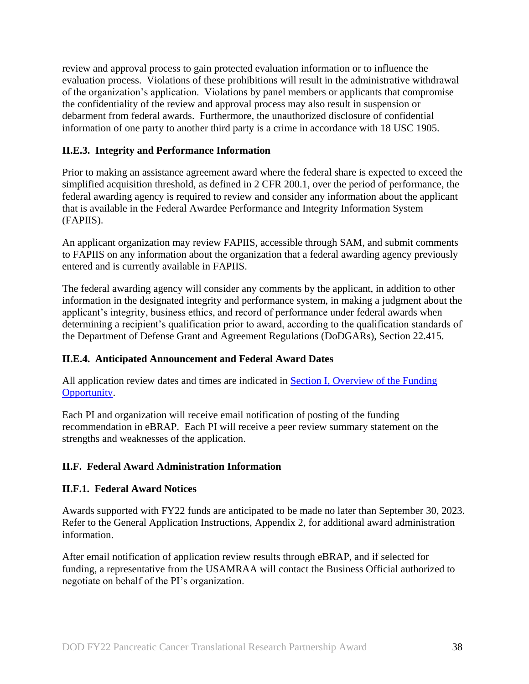review and approval process to gain protected evaluation information or to influence the evaluation process. Violations of these prohibitions will result in the administrative withdrawal of the organization's application. Violations by panel members or applicants that compromise the confidentiality of the review and approval process may also result in suspension or debarment from federal awards. Furthermore, the unauthorized disclosure of confidential information of one party to another third party is a crime in accordance with 18 USC 1905.

### <span id="page-37-0"></span>**II.E.3. Integrity and Performance Information**

Prior to making an assistance agreement award where the federal share is expected to exceed the simplified acquisition threshold, as defined in 2 CFR 200.1, over the period of performance, the federal awarding agency is required to review and consider any information about the applicant that is available in the Federal Awardee Performance and Integrity Information System (FAPIIS).

An applicant organization may review FAPIIS, accessible through SAM, and submit comments to FAPIIS on any information about the organization that a federal awarding agency previously entered and is currently available in FAPIIS.

The federal awarding agency will consider any comments by the applicant, in addition to other information in the designated integrity and performance system, in making a judgment about the applicant's integrity, business ethics, and record of performance under federal awards when determining a recipient's qualification prior to award, according to the qualification standards of the Department of Defense Grant and Agreement Regulations (DoDGARs), Section 22.415.

## <span id="page-37-1"></span>**II.E.4. Anticipated Announcement and Federal Award Dates**

All application review dates and times are indicated in [Section I, Overview of the Funding](#page-0-1)  [Opportunity.](#page-0-1)

Each PI and organization will receive email notification of posting of the funding recommendation in eBRAP. Each PI will receive a peer review summary statement on the strengths and weaknesses of the application.

### <span id="page-37-2"></span>**II.F. Federal Award Administration Information**

### <span id="page-37-3"></span>**II.F.1. Federal Award Notices**

Awards supported with FY22 funds are anticipated to be made no later than September 30, 2023. Refer to the General Application Instructions, Appendix 2, for additional award administration information.

After email notification of application review results through eBRAP, and if selected for funding, a representative from the USAMRAA will contact the Business Official authorized to negotiate on behalf of the PI's organization.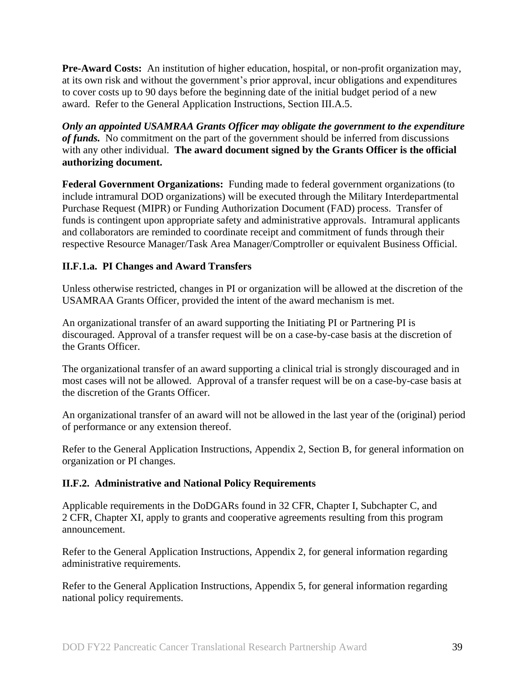**Pre-Award Costs:** An institution of higher education, hospital, or non-profit organization may, at its own risk and without the government's prior approval, incur obligations and expenditures to cover costs up to 90 days before the beginning date of the initial budget period of a new award. Refer to the General Application Instructions, Section III.A.5.

*Only an appointed USAMRAA Grants Officer may obligate the government to the expenditure of funds.* No commitment on the part of the government should be inferred from discussions with any other individual. **The award document signed by the Grants Officer is the official authorizing document.**

**Federal Government Organizations:** Funding made to federal government organizations (to include intramural DOD organizations) will be executed through the Military Interdepartmental Purchase Request (MIPR) or Funding Authorization Document (FAD) process. Transfer of funds is contingent upon appropriate safety and administrative approvals. Intramural applicants and collaborators are reminded to coordinate receipt and commitment of funds through their respective Resource Manager/Task Area Manager/Comptroller or equivalent Business Official.

## **II.F.1.a. PI Changes and Award Transfers**

Unless otherwise restricted, changes in PI or organization will be allowed at the discretion of the USAMRAA Grants Officer, provided the intent of the award mechanism is met.

An organizational transfer of an award supporting the Initiating PI or Partnering PI is discouraged. Approval of a transfer request will be on a case-by-case basis at the discretion of the Grants Officer.

The organizational transfer of an award supporting a clinical trial is strongly discouraged and in most cases will not be allowed. Approval of a transfer request will be on a case-by-case basis at the discretion of the Grants Officer.

An organizational transfer of an award will not be allowed in the last year of the (original) period of performance or any extension thereof.

Refer to the General Application Instructions, Appendix 2, Section B, for general information on organization or PI changes.

### <span id="page-38-0"></span>**II.F.2. Administrative and National Policy Requirements**

Applicable requirements in the DoDGARs found in 32 CFR, Chapter I, Subchapter C, and 2 CFR, Chapter XI, apply to grants and cooperative agreements resulting from this program announcement.

Refer to the General Application Instructions, Appendix 2, for general information regarding administrative requirements.

Refer to the General Application Instructions, Appendix 5, for general information regarding national policy requirements.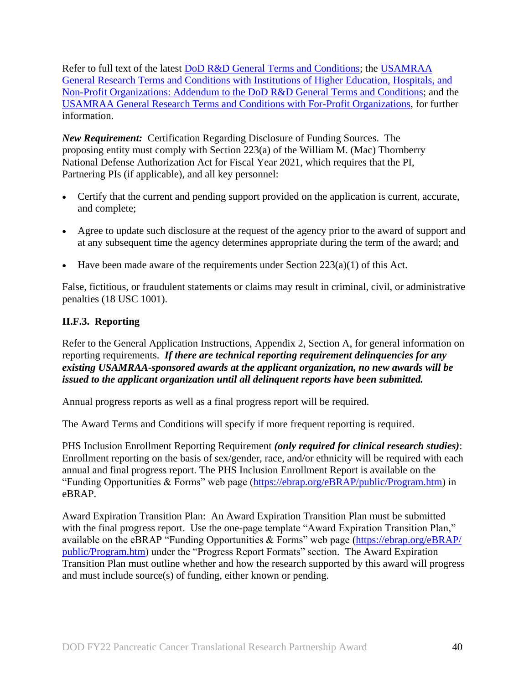Refer to full text of the latest DoD [R&D General Terms and Conditions;](https://www.onr.navy.mil/work-with-us/manage-your-award/manage-grant-award/grants-terms-conditions) the [USAMRAA](https://www.usamraa.army.mil/Pages/Resources.aspx)  [General Research Terms and Conditions with Institutions of Higher Education, Hospitals, and](https://www.usamraa.army.mil/Pages/Resources.aspx)  [Non-Profit Organizations: Addendum to the DoD](https://www.usamraa.army.mil/Pages/Resources.aspx) R&D General Terms and Conditions; and the [USAMRAA General Research Terms and Conditions with For-Profit Organizations,](https://www.usamraa.army.mil/Pages/Resources.aspx) for further information.

*New Requirement:* Certification Regarding Disclosure of Funding Sources. The proposing entity must comply with Section 223(a) of the William M. (Mac) Thornberry National Defense Authorization Act for Fiscal Year 2021, which requires that the PI, Partnering PIs (if applicable), and all key personnel:

- Certify that the current and pending support provided on the application is current, accurate, and complete;
- Agree to update such disclosure at the request of the agency prior to the award of support and at any subsequent time the agency determines appropriate during the term of the award; and
- Have been made aware of the requirements under Section  $223(a)(1)$  of this Act.

False, fictitious, or fraudulent statements or claims may result in criminal, civil, or administrative penalties (18 USC 1001).

## <span id="page-39-0"></span>**II.F.3. Reporting**

Refer to the General Application Instructions, Appendix 2, Section A, for general information on reporting requirements. *If there are technical reporting requirement delinquencies for any existing USAMRAA-sponsored awards at the applicant organization, no new awards will be issued to the applicant organization until all delinquent reports have been submitted.*

Annual progress reports as well as a final progress report will be required.

The Award Terms and Conditions will specify if more frequent reporting is required.

PHS Inclusion Enrollment Reporting Requirement *(only required for clinical research studies)*: Enrollment reporting on the basis of sex/gender, race, and/or ethnicity will be required with each annual and final progress report. The PHS Inclusion Enrollment Report is available on the "Funding Opportunities & Forms" web page [\(https://ebrap.org/eBRAP/public/Program.htm\)](https://ebrap.org/eBRAP/public/Program.htm) in eBRAP.

Award Expiration Transition Plan: An Award Expiration Transition Plan must be submitted with the final progress report. Use the one-page template "Award Expiration Transition Plan," available on the eBRAP "Funding Opportunities & Forms" web page [\(https://ebrap.org/eBRAP/](https://ebrap.org/eBRAP/public/Program.htm) [public/Program.htm\)](https://ebrap.org/eBRAP/public/Program.htm) under the "Progress Report Formats" section. The Award Expiration Transition Plan must outline whether and how the research supported by this award will progress and must include source(s) of funding, either known or pending.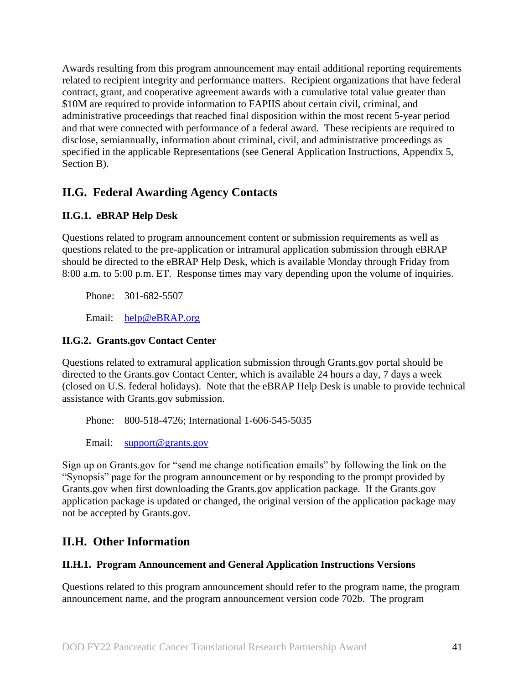Awards resulting from this program announcement may entail additional reporting requirements related to recipient integrity and performance matters. Recipient organizations that have federal contract, grant, and cooperative agreement awards with a cumulative total value greater than \$10M are required to provide information to FAPIIS about certain civil, criminal, and administrative proceedings that reached final disposition within the most recent 5-year period and that were connected with performance of a federal award. These recipients are required to disclose, semiannually, information about criminal, civil, and administrative proceedings as specified in the applicable Representations (see General Application Instructions, Appendix 5, Section B).

## <span id="page-40-0"></span>**II.G. Federal Awarding Agency Contacts**

## <span id="page-40-1"></span>**II.G.1. eBRAP Help Desk**

Questions related to program announcement content or submission requirements as well as questions related to the pre-application or intramural application submission through eBRAP should be directed to the eBRAP Help Desk, which is available Monday through Friday from 8:00 a.m. to 5:00 p.m. ET. Response times may vary depending upon the volume of inquiries.

Phone: 301-682-5507

Email: [help@eBRAP.org](mailto:help@eBRAP.org)

### <span id="page-40-2"></span>**II.G.2. Grants.gov Contact Center**

Questions related to extramural application submission through Grants.gov portal should be directed to the Grants.gov Contact Center, which is available 24 hours a day, 7 days a week (closed on U.S. federal holidays). Note that the eBRAP Help Desk is unable to provide technical assistance with Grants.gov submission.

Phone: 800-518-4726; International 1-606-545-5035

Email: [support@grants.gov](mailto:support@grants.gov)

Sign up on Grants.gov for "send me change notification emails" by following the link on the "Synopsis" page for the program announcement or by responding to the prompt provided by Grants.gov when first downloading the Grants.gov application package. If the Grants.gov application package is updated or changed, the original version of the application package may not be accepted by Grants.gov.

## <span id="page-40-3"></span>**II.H. Other Information**

### <span id="page-40-4"></span>**II.H.1. Program Announcement and General Application Instructions Versions**

Questions related to this program announcement should refer to the program name, the program announcement name, and the program announcement version code 702b. The program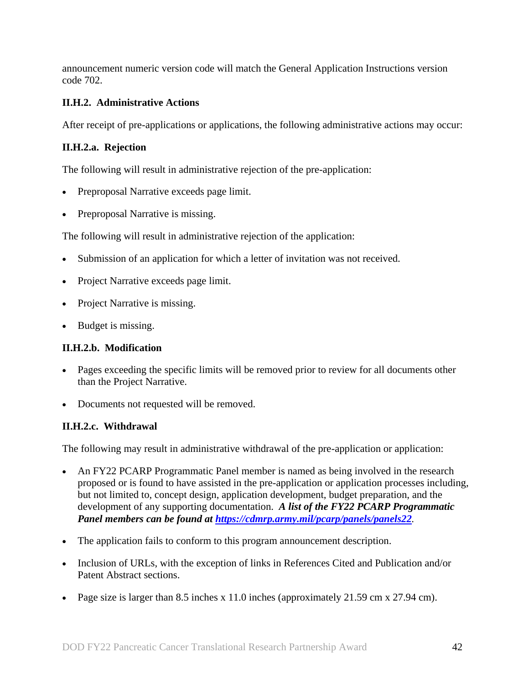announcement numeric version code will match the General Application Instructions version code 702.

## <span id="page-41-0"></span>**II.H.2. Administrative Actions**

After receipt of pre-applications or applications, the following administrative actions may occur:

### **II.H.2.a. Rejection**

The following will result in administrative rejection of the pre-application:

- Preproposal Narrative exceeds page limit.
- Preproposal Narrative is missing.

The following will result in administrative rejection of the application:

- Submission of an application for which a letter of invitation was not received.
- Project Narrative exceeds page limit.
- Project Narrative is missing.
- Budget is missing.

### **II.H.2.b. Modification**

- Pages exceeding the specific limits will be removed prior to review for all documents other than the Project Narrative.
- Documents not requested will be removed.

### <span id="page-41-1"></span>**II.H.2.c. Withdrawal**

The following may result in administrative withdrawal of the pre-application or application:

- An FY22 PCARP Programmatic Panel member is named as being involved in the research proposed or is found to have assisted in the pre-application or application processes including, but not limited to, concept design, application development, budget preparation, and the development of any supporting documentation. *A list of the FY22 PCARP Programmatic Panel members can be found at<https://cdmrp.army.mil/pcarp/panels/panels22>.*
- The application fails to conform to this program announcement description.
- Inclusion of URLs, with the exception of links in References Cited and Publication and/or Patent Abstract sections.
- Page size is larger than 8.5 inches x 11.0 inches (approximately 21.59 cm x 27.94 cm).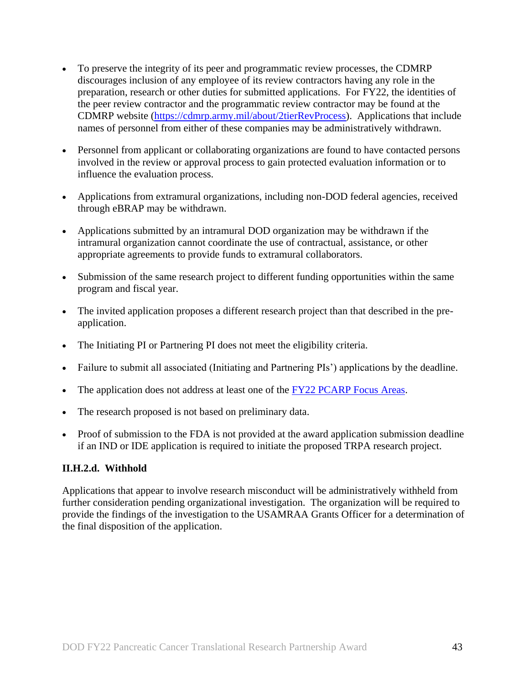- To preserve the integrity of its peer and programmatic review processes, the CDMRP discourages inclusion of any employee of its review contractors having any role in the preparation, research or other duties for submitted applications. For FY22, the identities of the peer review contractor and the programmatic review contractor may be found at the CDMRP website [\(https://cdmrp.army.mil/about/2tierRevProcess\)](https://cdmrp.army.mil/about/2tierRevProcess). Applications that include names of personnel from either of these companies may be administratively withdrawn.
- Personnel from applicant or collaborating organizations are found to have contacted persons involved in the review or approval process to gain protected evaluation information or to influence the evaluation process.
- Applications from extramural organizations, including non-DOD federal agencies, received through eBRAP may be withdrawn.
- Applications submitted by an intramural DOD organization may be withdrawn if the intramural organization cannot coordinate the use of contractual, assistance, or other appropriate agreements to provide funds to extramural collaborators.
- Submission of the same research project to different funding opportunities within the same program and fiscal year.
- The invited application proposes a different research project than that described in the preapplication.
- The Initiating PI or Partnering PI does not meet the eligibility criteria.
- Failure to submit all associated (Initiating and Partnering PIs') applications by the deadline.
- The application does not address at least one of the [FY22 PCARP Focus Areas.](#page-2-2)
- The research proposed is not based on preliminary data.
- Proof of submission to the FDA is not provided at the award application submission deadline if an IND or IDE application is required to initiate the proposed TRPA research project.

### **II.H.2.d. Withhold**

Applications that appear to involve research misconduct will be administratively withheld from further consideration pending organizational investigation. The organization will be required to provide the findings of the investigation to the USAMRAA Grants Officer for a determination of the final disposition of the application.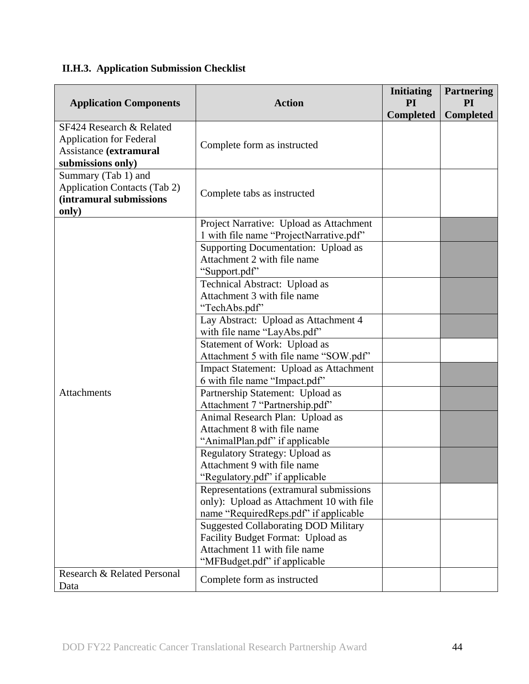# <span id="page-43-0"></span>**II.H.3. Application Submission Checklist**

| <b>Application Components</b>                                                                             | <b>Action</b>                                                     | <b>Initiating</b><br><b>PI</b> | <b>Partnering</b><br>PI |
|-----------------------------------------------------------------------------------------------------------|-------------------------------------------------------------------|--------------------------------|-------------------------|
|                                                                                                           |                                                                   | <b>Completed</b>               | <b>Completed</b>        |
| SF424 Research & Related<br><b>Application for Federal</b><br>Assistance (extramural<br>submissions only) | Complete form as instructed                                       |                                |                         |
| Summary (Tab 1) and<br><b>Application Contacts (Tab 2)</b><br>(intramural submissions<br>only)            | Complete tabs as instructed                                       |                                |                         |
|                                                                                                           | Project Narrative: Upload as Attachment                           |                                |                         |
|                                                                                                           | 1 with file name "ProjectNarrative.pdf"                           |                                |                         |
|                                                                                                           | Supporting Documentation: Upload as                               |                                |                         |
|                                                                                                           | Attachment 2 with file name                                       |                                |                         |
|                                                                                                           | "Support.pdf"                                                     |                                |                         |
|                                                                                                           | Technical Abstract: Upload as                                     |                                |                         |
|                                                                                                           | Attachment 3 with file name                                       |                                |                         |
|                                                                                                           | "TechAbs.pdf"<br>Lay Abstract: Upload as Attachment 4             |                                |                         |
|                                                                                                           | with file name "LayAbs.pdf"                                       |                                |                         |
|                                                                                                           | Statement of Work: Upload as                                      |                                |                         |
|                                                                                                           | Attachment 5 with file name "SOW.pdf"                             |                                |                         |
|                                                                                                           | Impact Statement: Upload as Attachment                            |                                |                         |
|                                                                                                           | 6 with file name "Impact.pdf"                                     |                                |                         |
| Attachments                                                                                               | Partnership Statement: Upload as                                  |                                |                         |
|                                                                                                           | Attachment 7 "Partnership.pdf"                                    |                                |                         |
|                                                                                                           | Animal Research Plan: Upload as                                   |                                |                         |
|                                                                                                           | Attachment 8 with file name                                       |                                |                         |
|                                                                                                           | "AnimalPlan.pdf" if applicable                                    |                                |                         |
|                                                                                                           | <b>Regulatory Strategy: Upload as</b>                             |                                |                         |
|                                                                                                           | Attachment 9 with file name                                       |                                |                         |
|                                                                                                           | "Regulatory.pdf" if applicable                                    |                                |                         |
|                                                                                                           | Representations (extramural submissions                           |                                |                         |
|                                                                                                           | only): Upload as Attachment 10 with file                          |                                |                         |
|                                                                                                           | name "RequiredReps.pdf" if applicable                             |                                |                         |
|                                                                                                           | <b>Suggested Collaborating DOD Military</b>                       |                                |                         |
|                                                                                                           | Facility Budget Format: Upload as<br>Attachment 11 with file name |                                |                         |
|                                                                                                           | "MFBudget.pdf" if applicable                                      |                                |                         |
| Research & Related Personal<br>Data                                                                       | Complete form as instructed                                       |                                |                         |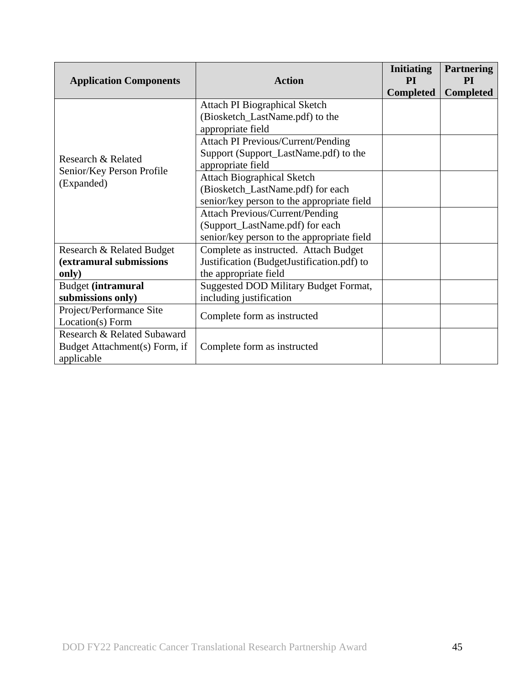| <b>Application Components</b> | <b>Action</b>                                | <b>Initiating</b><br><b>PI</b> | <b>Partnering</b><br><b>PI</b> |
|-------------------------------|----------------------------------------------|--------------------------------|--------------------------------|
|                               |                                              | <b>Completed</b>               | <b>Completed</b>               |
|                               | <b>Attach PI Biographical Sketch</b>         |                                |                                |
|                               | (Biosketch_LastName.pdf) to the              |                                |                                |
|                               | appropriate field                            |                                |                                |
|                               | <b>Attach PI Previous/Current/Pending</b>    |                                |                                |
| Research & Related            | Support (Support_LastName.pdf) to the        |                                |                                |
|                               | appropriate field                            |                                |                                |
| Senior/Key Person Profile     | <b>Attach Biographical Sketch</b>            |                                |                                |
| (Expanded)                    | (Biosketch_LastName.pdf) for each            |                                |                                |
|                               | senior/key person to the appropriate field   |                                |                                |
|                               | <b>Attach Previous/Current/Pending</b>       |                                |                                |
|                               | (Support_LastName.pdf) for each              |                                |                                |
|                               | senior/key person to the appropriate field   |                                |                                |
| Research & Related Budget     | Complete as instructed. Attach Budget        |                                |                                |
| (extramural submissions       | Justification (BudgetJustification.pdf) to   |                                |                                |
| only)                         | the appropriate field                        |                                |                                |
| <b>Budget (intramural</b>     | <b>Suggested DOD Military Budget Format,</b> |                                |                                |
| submissions only)             | including justification                      |                                |                                |
| Project/Performance Site      |                                              |                                |                                |
| Location(s) Form              | Complete form as instructed                  |                                |                                |
| Research & Related Subaward   |                                              |                                |                                |
| Budget Attachment(s) Form, if | Complete form as instructed                  |                                |                                |
| applicable                    |                                              |                                |                                |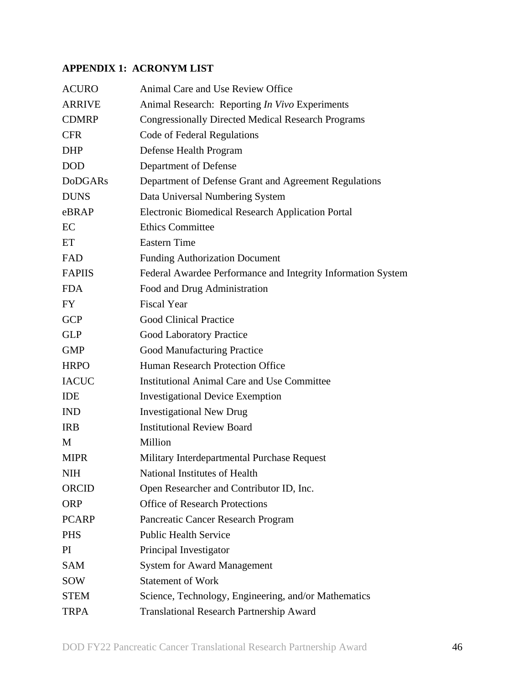## **APPENDIX 1: ACRONYM LIST**

| <b>ACURO</b>   | Animal Care and Use Review Office                            |
|----------------|--------------------------------------------------------------|
| <b>ARRIVE</b>  | Animal Research: Reporting In Vivo Experiments               |
| <b>CDMRP</b>   | <b>Congressionally Directed Medical Research Programs</b>    |
| <b>CFR</b>     | Code of Federal Regulations                                  |
| <b>DHP</b>     | Defense Health Program                                       |
| <b>DOD</b>     | Department of Defense                                        |
| <b>DoDGARs</b> | Department of Defense Grant and Agreement Regulations        |
| <b>DUNS</b>    | Data Universal Numbering System                              |
| eBRAP          | <b>Electronic Biomedical Research Application Portal</b>     |
| EC             | <b>Ethics Committee</b>                                      |
| ET             | <b>Eastern Time</b>                                          |
| FAD            | <b>Funding Authorization Document</b>                        |
| <b>FAPIIS</b>  | Federal Awardee Performance and Integrity Information System |
| <b>FDA</b>     | Food and Drug Administration                                 |
| <b>FY</b>      | <b>Fiscal Year</b>                                           |
| <b>GCP</b>     | <b>Good Clinical Practice</b>                                |
| <b>GLP</b>     | <b>Good Laboratory Practice</b>                              |
| <b>GMP</b>     | <b>Good Manufacturing Practice</b>                           |
| <b>HRPO</b>    | Human Research Protection Office                             |
| <b>IACUC</b>   | <b>Institutional Animal Care and Use Committee</b>           |
| <b>IDE</b>     | <b>Investigational Device Exemption</b>                      |
| <b>IND</b>     | <b>Investigational New Drug</b>                              |
| <b>IRB</b>     | <b>Institutional Review Board</b>                            |
| M              | Million                                                      |
| <b>MIPR</b>    | Military Interdepartmental Purchase Request                  |
| <b>NIH</b>     | National Institutes of Health                                |
| <b>ORCID</b>   | Open Researcher and Contributor ID, Inc.                     |
| <b>ORP</b>     | <b>Office of Research Protections</b>                        |
| <b>PCARP</b>   | Pancreatic Cancer Research Program                           |
| <b>PHS</b>     | <b>Public Health Service</b>                                 |
| PI             | Principal Investigator                                       |
| <b>SAM</b>     | <b>System for Award Management</b>                           |
| SOW            | <b>Statement of Work</b>                                     |
| <b>STEM</b>    | Science, Technology, Engineering, and/or Mathematics         |
| <b>TRPA</b>    | <b>Translational Research Partnership Award</b>              |